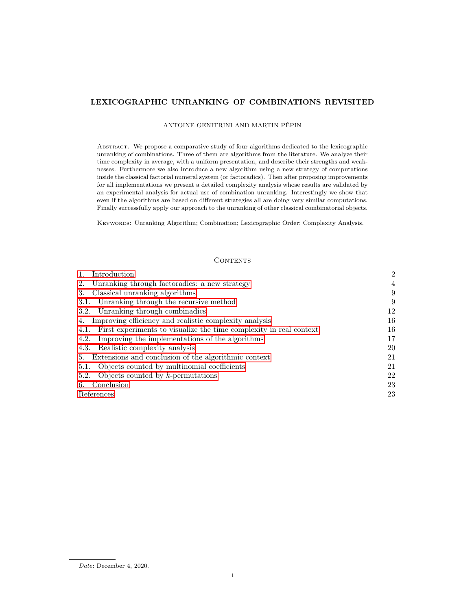# LEXICOGRAPHIC UNRANKING OF COMBINATIONS REVISITED

## ANTOINE GENITRINI AND MARTIN PÉPIN

Abstract. We propose a comparative study of four algorithms dedicated to the lexicographic unranking of combinations. Three of them are algorithms from the literature. We analyze their time complexity in average, with a uniform presentation, and describe their strengths and weaknesses. Furthermore we also introduce a new algorithm using a new strategy of computations inside the classical factorial numeral system (or factoradics). Then after proposing improvements for all implementations we present a detailed complexity analysis whose results are validated by an experimental analysis for actual use of combination unranking. Interestingly we show that even if the algorithms are based on different strategies all are doing very similar computations. Finally successfully apply our approach to the unranking of other classical combinatorial objects.

Keywords: Unranking Algorithm; Combination; Lexicographic Order; Complexity Analysis.

## **CONTENTS**

| Introduction                                                            | $\overline{2}$ |
|-------------------------------------------------------------------------|----------------|
| Unranking through factoradics: a new strategy<br>2.                     | $\overline{4}$ |
| Classical unranking algorithms<br>3.                                    | 9              |
| 3.1. Unranking through the recursive method                             | 9              |
| 3.2. Unranking through combinadics                                      | 12             |
| Improving efficiency and realistic complexity analysis<br>4.            | 16             |
| 4.1. First experiments to visualize the time complexity in real context | 16             |
| Improving the implementations of the algorithms<br>4.2.                 | 17             |
| Realistic complexity analysis<br>4.3.                                   | 20             |
| Extensions and conclusion of the algorithmic context<br>5.              | 21             |
| Objects counted by multinomial coefficients<br>5.1.                     | 21             |
| 5.2. Objects counted by $k$ -permutations                               | 22             |
| Conclusion<br>6.                                                        | 23             |
| References                                                              | 23             |
|                                                                         |                |

Date: December 4, 2020.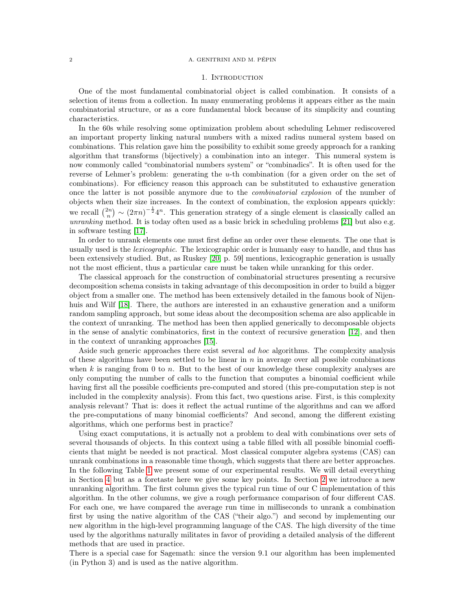### <span id="page-1-0"></span>2 A. GENITRINI AND M. PÉPIN

## 1. INTRODUCTION

One of the most fundamental combinatorial object is called combination. It consists of a selection of items from a collection. In many enumerating problems it appears either as the main combinatorial structure, or as a core fundamental block because of its simplicity and counting characteristics.

In the 60s while resolving some optimization problem about scheduling Lehmer rediscovered an important property linking natural numbers with a mixed radius numeral system based on combinations. This relation gave him the possibility to exhibit some greedy approach for a ranking algorithm that transforms (bijectively) a combination into an integer. This numeral system is now commonly called "combinatorial numbers system" or "combinadics". It is often used for the reverse of Lehmer's problem: generating the u-th combination (for a given order on the set of combinations). For efficiency reason this approach can be substituted to exhaustive generation once the latter is not possible anymore due to the combinatorial explosion of the number of objects when their size increases. In the context of combination, the explosion appears quickly: we recall  $\binom{2n}{n} \sim (2\pi n)^{-\frac{1}{2}} 4^n$ . This generation strategy of a single element is classically called an unranking method. It is today often used as a basic brick in scheduling problems [\[21\]](#page-22-1) but also e.g. in software testing [\[17\]](#page-22-2).

In order to unrank elements one must first define an order over these elements. The one that is usually used is the *lexicographic*. The lexicographic order is humanly easy to handle, and thus has been extensively studied. But, as Ruskey [\[20,](#page-22-3) p. 59] mentions, lexicographic generation is usually not the most efficient, thus a particular care must be taken while unranking for this order.

The classical approach for the construction of combinatorial structures presenting a recursive decomposition schema consists in taking advantage of this decomposition in order to build a bigger object from a smaller one. The method has been extensively detailed in the famous book of Nijen-huis and Wilf [\[18\]](#page-22-4). There, the authors are interested in an exhaustive generation and a uniform random sampling approach, but some ideas about the decomposition schema are also applicable in the context of unranking. The method has been then applied generically to decomposable objects in the sense of analytic combinatorics, first in the context of recursive generation [\[12\]](#page-22-5), and then in the context of unranking approaches [\[15\]](#page-22-6).

Aside such generic approaches there exist several ad hoc algorithms. The complexity analysis of these algorithms have been settled to be linear in  $n$  in average over all possible combinations when  $k$  is ranging from 0 to n. But to the best of our knowledge these complexity analyses are only computing the number of calls to the function that computes a binomial coefficient while having first all the possible coefficients pre-computed and stored (this pre-computation step is not included in the complexity analysis). From this fact, two questions arise. First, is this complexity analysis relevant? That is: does it reflect the actual runtime of the algorithms and can we afford the pre-computations of many binomial coefficients? And second, among the different existing algorithms, which one performs best in practice?

Using exact computations, it is actually not a problem to deal with combinations over sets of several thousands of objects. In this context using a table filled with all possible binomial coefficients that might be needed is not practical. Most classical computer algebra systems (CAS) can unrank combinations in a reasonable time though, which suggests that there are better approaches. In the following Table [1](#page-2-0) we present some of our experimental results. We will detail everything in Section [4](#page-15-0) but as a foretaste here we give some key points. In Section [2](#page-3-0) we introduce a new unranking algorithm. The first column gives the typical run time of our C implementation of this algorithm. In the other columns, we give a rough performance comparison of four different CAS. For each one, we have compared the average run time in milliseconds to unrank a combination first by using the native algorithm of the CAS ("their algo.") and second by implementing our new algorithm in the high-level programming language of the CAS. The high diversity of the time used by the algorithms naturally militates in favor of providing a detailed analysis of the different methods that are used in practice.

There is a special case for Sagemath: since the version 9.1 our algorithm has been implemented (in Python 3) and is used as the native algorithm.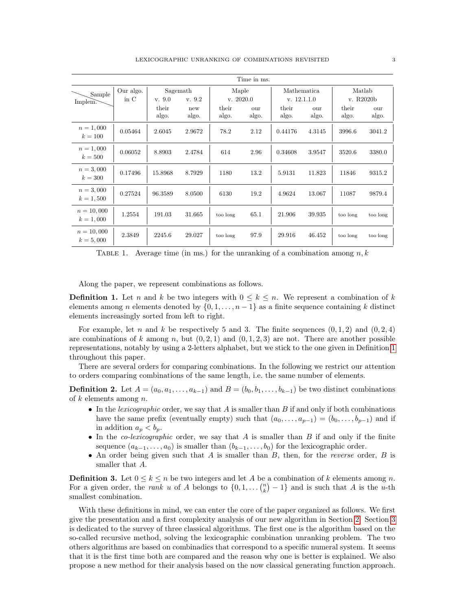<span id="page-2-0"></span>

| Time in ms.                 |           |                |              |                |              |                |              |                |              |  |
|-----------------------------|-----------|----------------|--------------|----------------|--------------|----------------|--------------|----------------|--------------|--|
| Sample                      | Our algo. | Sagemath       |              |                | Maple        |                | Mathematica  |                | Matlab       |  |
| Implem.                     | in C      | v. 9.0         | v. 9.2       | v. 2020.0      |              | v. 12.1.1.0    |              | v. R2020b      |              |  |
|                             |           | their<br>algo. | new<br>algo. | their<br>algo. | our<br>algo. | their<br>algo. | our<br>algo. | their<br>algo. | our<br>algo. |  |
| $n = 1,000$<br>$k = 100$    | 0.05464   | 2.6045         | 2.9672       | 78.2           | 2.12         | 0.44176        | 4.3145       | 3996.6         | 3041.2       |  |
| $n = 1,000$<br>$k=500$      | 0.06052   | 8.8903         | 2.4784       | 614            | 2.96         | 0.34608        | 3.9547       | 3520.6         | 3380.0       |  |
| $n = 3,000$<br>$k = 300$    | 0.17496   | 15.8968        | 8.7929       | 1180           | 13.2         | 5.9131         | 11.823       | 11846          | 9315.2       |  |
| $n = 3,000$<br>$k = 1,500$  | 0.27524   | 96.3589        | 8.0500       | 6130           | 19.2         | 4.9624         | 13.067       | 11087          | 9879.4       |  |
| $n = 10,000$<br>$k = 1,000$ | 1.2554    | 191.03         | 31.665       | too long       | 65.1         | 21.906         | 39.935       | too long       | too long     |  |
| $n = 10,000$<br>$k = 5,000$ | 2.3849    | 2245.6         | 29.027       | too long       | 97.9         | 29.916         | 46.452       | too long       | too long     |  |

TABLE 1. Average time (in ms.) for the unranking of a combination among  $n, k$ 

Along the paper, we represent combinations as follows.

<span id="page-2-1"></span>**Definition 1.** Let n and k be two integers with  $0 \leq k \leq n$ . We represent a combination of k elements among n elements denoted by  $\{0, 1, \ldots, n-1\}$  as a finite sequence containing k distinct elements increasingly sorted from left to right.

For example, let n and k be respectively 5 and 3. The finite sequences  $(0, 1, 2)$  and  $(0, 2, 4)$ are combinations of k among n, but  $(0, 2, 1)$  and  $(0, 1, 2, 3)$  are not. There are another possible representations, notably by using a 2-letters alphabet, but we stick to the one given in Definition [1](#page-2-1) throughout this paper.

There are several orders for comparing combinations. In the following we restrict our attention to orders comparing combinations of the same length, i.e. the same number of elements.

**Definition 2.** Let  $A = (a_0, a_1, \ldots, a_{k-1})$  and  $B = (b_0, b_1, \ldots, b_{k-1})$  be two distinct combinations of k elements among  $n$ .

- In the lexicographic order, we say that  $A$  is smaller than  $B$  if and only if both combinations have the same prefix (eventually empty) such that  $(a_0, \ldots, a_{p-1}) = (b_0, \ldots, b_{p-1})$  and if in addition  $a_p < b_p$ .
- In the *co-lexicographic* order, we say that  $A$  is smaller than  $B$  if and only if the finite sequence  $(a_{k-1}, \ldots, a_0)$  is smaller than  $(b_{k-1}, \ldots, b_0)$  for the lexicographic order.
- An order being given such that  $A$  is smaller than  $B$ , then, for the *reverse* order,  $B$  is smaller that A.

**Definition 3.** Let  $0 \leq k \leq n$  be two integers and let A be a combination of k elements among n. For a given order, the *rank* u of A belongs to  $\{0, 1, \ldots {n \choose k} - 1\}$  and is such that A is the u-th smallest combination.

With these definitions in mind, we can enter the core of the paper organized as follows. We first give the presentation and a first complexity analysis of our new algorithm in Section [2.](#page-3-0) Section [3](#page-8-0) is dedicated to the survey of three classical algorithms. The first one is the algorithm based on the so-called recursive method, solving the lexicographic combination unranking problem. The two others algorithms are based on combinadics that correspond to a specific numeral system. It seems that it is the first time both are compared and the reason why one is better is explained. We also propose a new method for their analysis based on the now classical generating function approach.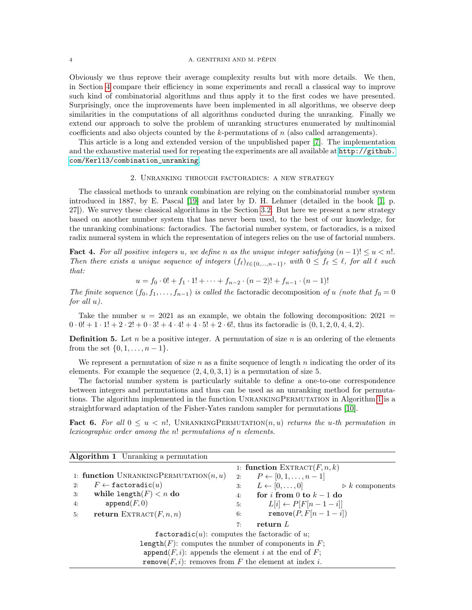## 4 A. GENITRINI AND M. PÉPIN

Obviously we thus reprove their average complexity results but with more details. We then, in Section [4](#page-15-0) compare their efficiency in some experiments and recall a classical way to improve such kind of combinatorial algorithms and thus apply it to the first codes we have presented. Surprisingly, once the improvements have been implemented in all algorithms, we observe deep similarities in the computations of all algorithms conducted during the unranking. Finally we extend our approach to solve the problem of unranking structures enumerated by multinomial coefficients and also objects counted by the  $k$ -permutations of  $n$  (also called arrangements).

This article is a long and extended version of the unpublished paper [\[7\]](#page-22-7). The implementation and the exhaustive material used for repeating the experiments are all available at [http://github.](http://github.com/Kerl13/combination_unranking) [com/Kerl13/combination\\_unranking](http://github.com/Kerl13/combination_unranking).

## 2. Unranking through factoradics: a new strategy

<span id="page-3-0"></span>The classical methods to unrank combination are relying on the combinatorial number system introduced in 1887, by E. Pascal [\[19\]](#page-22-8) and later by D. H. Lehmer (detailed in the book [\[1,](#page-22-9) p. 27]). We survey these classical algorithms in the Section [3.2.](#page-11-0) But here we present a new strategy based on another number system that has never been used, to the best of our knowledge, for the unranking combinations: factoradics. The factorial number system, or factoradics, is a mixed radix numeral system in which the representation of integers relies on the use of factorial numbers.

Fact 4. For all positive integers u, we define n as the unique integer satisfying  $(n-1)! \leq u \leq n!$ . Then there exists a unique sequence of integers  $(f_{\ell})_{\ell \in \{0,\ldots,n-1\}}$ , with  $0 \leq f_{\ell} \leq \ell$ , for all  $\ell$  such that:

$$
u = f_0 \cdot 0! + f_1 \cdot 1! + \dots + f_{n-2} \cdot (n-2)! + f_{n-1} \cdot (n-1)!
$$

The finite sequence  $(f_0, f_1, \ldots, f_{n-1})$  is called the factoradic decomposition of u (note that  $f_0 = 0$ for all u).

Take the number  $u = 2021$  as an example, we obtain the following decomposition:  $2021 =$  $0 \cdot 0! + 1 \cdot 1! + 2 \cdot 2! + 0 \cdot 3! + 4 \cdot 4! + 4 \cdot 5! + 2 \cdot 6!$ , thus its factoradic is  $(0, 1, 2, 0, 4, 4, 2)$ .

**Definition 5.** Let n be a positive integer. A permutation of size n is an ordering of the elements from the set  $\{0, 1, \ldots, n-1\}.$ 

We represent a permutation of size  $n$  as a finite sequence of length  $n$  indicating the order of its elements. For example the sequence  $(2, 4, 0, 3, 1)$  is a permutation of size 5.

The factorial number system is particularly suitable to define a one-to-one correspondence between integers and permutations and thus can be used as an unranking method for permutations. The algorithm implemented in the function UnrankingPermutation in Algorithm [1](#page-3-1) is a straightforward adaptation of the Fisher-Yates random sampler for permutations [\[10\]](#page-22-10).

**Fact 6.** For all  $0 \leq u \leq n!$ , UNRANKINGPERMUTATION $(n, u)$  returns the u-th permutation in lexicographic order among the n! permutations of n elements.

<span id="page-3-1"></span>

| <b>Algorithm 1</b> Unranking a permutation                      |    |                                                             |
|-----------------------------------------------------------------|----|-------------------------------------------------------------|
|                                                                 |    | 1: function EXTRACT $(F, n, k)$                             |
| 1: function UNRANKINGPERMUTATION $(n, u)$                       | 2: | $P \leftarrow [0, 1, \ldots, n-1]$                          |
| $F \leftarrow$ factoradic $(u)$<br>2:                           | 3: | $L \leftarrow [0, \ldots, 0]$ $\triangleright k$ components |
| while length( $F$ ) < n do<br>3:                                | 4: | for <i>i</i> from 0 to $k-1$ do                             |
| append(F, 0)<br>4:                                              | 5: | $L[i] \leftarrow P[F[n-1-i]]$                               |
| return EXTRACT $(F, n, n)$<br>5:                                | 6: | remove $(P, F[n-1-i])$                                      |
|                                                                 | 7: | return $L$                                                  |
| factoridic( <i>u</i> ): computes the factoridic of <i>u</i> ;   |    |                                                             |
| length( $F$ ): computes the number of components in $F$ ;       |    |                                                             |
| $append(F, i)$ : appends the element i at the end of F;         |    |                                                             |
| <b>remove</b> $(F, i)$ : removes from F the element at index i. |    |                                                             |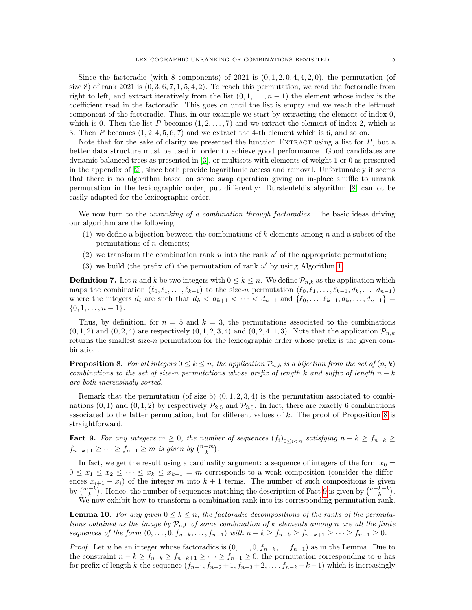Since the factoradic (with 8 components) of 2021 is  $(0, 1, 2, 0, 4, 4, 2, 0)$ , the permutation (of size 8) of rank 2021 is  $(0, 3, 6, 7, 1, 5, 4, 2)$ . To reach this permutation, we read the factoradic from right to left, and extract iteratively from the list  $(0, 1, \ldots, n-1)$  the element whose index is the coefficient read in the factoradic. This goes on until the list is empty and we reach the leftmost component of the factoradic. Thus, in our example we start by extracting the element of index 0, which is 0. Then the list P becomes  $(1, 2, \ldots, 7)$  and we extract the element of index 2, which is 3. Then P becomes  $(1, 2, 4, 5, 6, 7)$  and we extract the 4-th element which is 6, and so on.

Note that for the sake of clarity we presented the function EXTRACT using a list for  $P$ , but a better data structure must be used in order to achieve good performance. Good candidates are dynamic balanced trees as presented in [\[3\]](#page-22-11), or multisets with elements of weight 1 or 0 as presented in the appendix of [\[2\]](#page-22-12), since both provide logarithmic access and removal. Unfortunately it seems that there is no algorithm based on some swap operation giving an in-place shuffle to unrank permutation in the lexicographic order, put differently: Durstenfeld's algorithm [\[8\]](#page-22-13) cannot be easily adapted for the lexicographic order.

We now turn to the *unranking of a combination through factoradics*. The basic ideas driving our algorithm are the following:

- (1) we define a bijection between the combinations of k elements among n and a subset of the permutations of n elements;
- (2) we transform the combination rank  $u$  into the rank  $u'$  of the appropriate permutation;
- (3) we build (the prefix of) the permutation of rank  $u'$  by using Algorithm [1.](#page-3-1)

**Definition 7.** Let n and k be two integers with  $0 \le k \le n$ . We define  $\mathcal{P}_{n,k}$  as the application which maps the combination  $(\ell_0, \ell_1, \ldots, \ell_{k-1})$  to the size-n permutation  $(\ell_0, \ell_1, \ldots, \ell_{k-1}, d_k, \ldots, d_{n-1})$ where the integers  $d_i$  are such that  $d_k < d_{k+1} < \cdots < d_{n-1}$  and  $\{\ell_0, \ldots, \ell_{k-1}, d_k, \ldots, d_{n-1}\}$  $\{0, 1, \ldots, n-1\}.$ 

Thus, by definition, for  $n = 5$  and  $k = 3$ , the permutations associated to the combinations  $(0, 1, 2)$  and  $(0, 2, 4)$  are respectively  $(0, 1, 2, 3, 4)$  and  $(0, 2, 4, 1, 3)$ . Note that the application  $\mathcal{P}_{n,k}$ returns the smallest size-n permutation for the lexicographic order whose prefix is the given combination.

<span id="page-4-0"></span>**Proposition 8.** For all integers  $0 \le k \le n$ , the application  $\mathcal{P}_{n,k}$  is a bijection from the set of  $(n,k)$ combinations to the set of size-n permutations whose prefix of length k and suffix of length  $n - k$ are both increasingly sorted.

Remark that the permutation (of size 5)  $(0, 1, 2, 3, 4)$  is the permutation associated to combinations  $(0, 1)$  and  $(0, 1, 2)$  by respectively  $\mathcal{P}_{2.5}$  and  $\mathcal{P}_{3.5}$ . In fact, there are exactly 6 combinations associated to the latter permutation, but for different values of  $k$ . The proof of Proposition [8](#page-4-0) is straightforward.

<span id="page-4-1"></span>**Fact 9.** For any integers  $m \geq 0$ , the number of sequences  $(f_i)_{0 \leq i \leq n}$  satisfying  $n - k \geq f_{n-k} \geq$  $f_{n-k+1} \geq \cdots \geq f_{n-1} \geq m$  is given by  $\binom{n-m}{k}$ .

In fact, we get the result using a cardinality argument: a sequence of integers of the form  $x_0 =$  $0 \leq x_1 \leq x_2 \leq \cdots \leq x_k \leq x_{k+1} = m$  corresponds to a weak composition (consider the differences  $x_{i+1} - x_i$  of the integer m into  $k+1$  terms. The number of such compositions is given by  $\binom{m+k}{k}$ . Hence, the number of sequences matching the description of Fact [9](#page-4-1) is given by  $\binom{n-k+k}{k}$ .

We now exhibit how to transform a combination rank into its corresponding permutation rank.

<span id="page-4-2"></span>**Lemma 10.** For any given  $0 \leq k \leq n$ , the factoradic decompositions of the ranks of the permutations obtained as the image by  $\mathcal{P}_{n,k}$  of some combination of k elements among n are all the finite sequences of the form  $(0, \ldots, 0, f_{n-k}, \ldots, f_{n-1})$  with  $n-k \ge f_{n-k} \ge f_{n-k+1} \ge \cdots \ge f_{n-1} \ge 0$ .

*Proof.* Let u be an integer whose factoradics is  $(0, \ldots, 0, f_{n-k}, \ldots, f_{n-1})$  as in the Lemma. Due to the constraint  $n - k \ge f_{n-k} \ge f_{n-k+1} \ge \cdots \ge f_{n-1} \ge 0$ , the permutation corresponding to u has for prefix of length k the sequence  $(f_{n-1}, f_{n-2}+1, f_{n-3}+2, \ldots, f_{n-k}+k-1)$  which is increasingly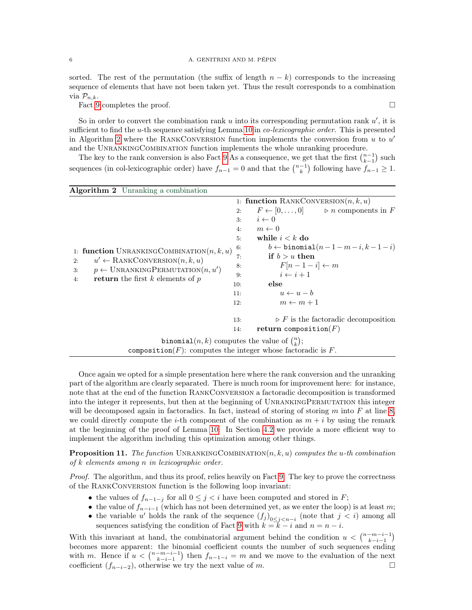sorted. The rest of the permutation (the suffix of length  $n - k$ ) corresponds to the increasing sequence of elements that have not been taken yet. Thus the result corresponds to a combination via  $\mathcal{P}_{n,k}$ .

Fact [9](#page-4-1) completes the proof.  $\Box$ 

So in order to convert the combination rank  $u$  into its corresponding permutation rank  $u'$ , it is sufficient to find the u-th sequence satisfying Lemma [10](#page-4-2) in *co-lexicographic order*. This is presented in Algorithm [2](#page-5-0) where the RANKCONVERSION function implements the conversion from  $u$  to  $u'$ and the UnrankingCombination function implements the whole unranking procedure.

The key to the rank conversion is also Fact [9](#page-4-1) As a consequence, we get that the first  $\binom{n-1}{k-1}$  such sequences (in col-lexicographic order) have  $f_{n-1} = 0$  and that the  $\binom{n-1}{k}$  following have  $f_{n-1} \ge 1$ .

<span id="page-5-0"></span>

| <b>Algorithm 2</b> Unranking a combination                      |     |                                                                  |  |  |  |  |
|-----------------------------------------------------------------|-----|------------------------------------------------------------------|--|--|--|--|
|                                                                 |     | 1: function RANKCONVERSION $(n, k, u)$                           |  |  |  |  |
|                                                                 | 2:  | $F \leftarrow [0, \ldots, 0]$ $\triangleright n$ components in F |  |  |  |  |
|                                                                 | 3:  | $i \leftarrow 0$                                                 |  |  |  |  |
|                                                                 | 4:  | $m \leftarrow 0$                                                 |  |  |  |  |
|                                                                 | 5:  | while $i < k$ do                                                 |  |  |  |  |
| 1: function UNRANKINGCOMBINATION $(n, k, u)$                    | 6:  | $b \leftarrow \text{binomial}(n-1-m-i,k-1-i)$                    |  |  |  |  |
| $u' \leftarrow$ RANKCONVERSION $(n, k, u)$<br>2:                | 7:  | if $b > u$ then                                                  |  |  |  |  |
| $p \leftarrow \text{UNRANKINGPERMUTATION}(n, u')$<br>3:         | 8:  | $F[n-1-i] \leftarrow m$                                          |  |  |  |  |
| <b>return</b> the first $k$ elements of $p$<br>4:               | 9:  | $i \leftarrow i+1$                                               |  |  |  |  |
|                                                                 | 10: | else                                                             |  |  |  |  |
|                                                                 | 11: | $u \leftarrow u - b$                                             |  |  |  |  |
|                                                                 | 12: | $m \leftarrow m + 1$                                             |  |  |  |  |
|                                                                 | 13: | $\triangleright F$ is the factoradic decomposition               |  |  |  |  |
|                                                                 | 14: | return composition( $F$ )                                        |  |  |  |  |
| <b>binomial</b> $(n, k)$ computes the value of $\binom{n}{k}$ ; |     |                                                                  |  |  |  |  |
| composition(F): computes the integer whose factoradic is $F$ .  |     |                                                                  |  |  |  |  |

Once again we opted for a simple presentation here where the rank conversion and the unranking part of the algorithm are clearly separated. There is much room for improvement here: for instance, note that at the end of the function RankConversion a factoradic decomposition is transformed into the integer it represents, but then at the beginning of UnrankingPermutation this integer will be decomposed again in factoradics. In fact, instead of storing of storing  $m$  into  $F$  at line [8,](#page-5-0) we could directly compute the *i*-th component of the combination as  $m + i$  by using the remark at the beginning of the proof of Lemma [10.](#page-4-2) In Section [4.2](#page-16-0) we provide a more efficient way to implement the algorithm including this optimization among other things.

**Proposition 11.** The function UNRANKINGCOMBINATION $(n, k, u)$  computes the u-th combination of k elements among n in lexicographic order.

Proof. The algorithm, and thus its proof, relies heavily on Fact [9.](#page-4-1) The key to prove the correctness of the RankConversion function is the following loop invariant:

- the values of  $f_{n-1-j}$  for all  $0 \leq j < i$  have been computed and stored in F;
- the value of  $f_{n-i-1}$  (which has not been determined yet, as we enter the loop) is at least m;
- the variable u' holds the rank of the sequence  $(f_j)_{0 \leq j < n-i}$  (note that  $j < i$ ) among all sequences satisfying the condition of Fact [9](#page-4-1) with  $k = k - i$  and  $n = n - i$ .

With this invariant at hand, the combinatorial argument behind the condition  $u < \binom{n-m-i-1}{k-i-1}$ becomes more apparent: the binomial coefficient counts the number of such sequences ending with m. Hence if  $u < \binom{n-m-i-1}{k-i-1}$  then  $f_{n-1-i} = m$  and we move to the evaluation of the next coefficient  $(f_{n-i-2})$ , otherwise we try the next value of m.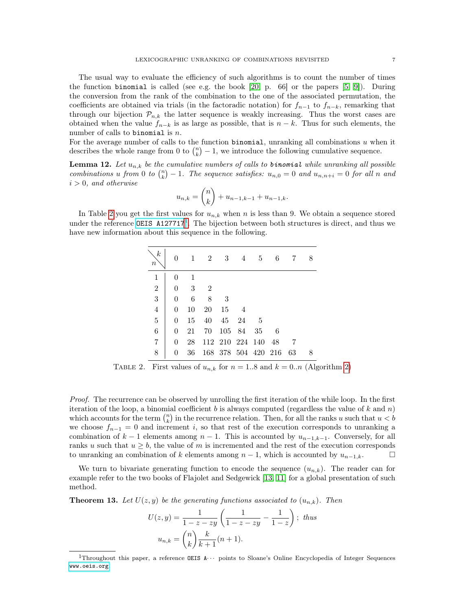The usual way to evaluate the efficiency of such algorithms is to count the number of times the function binomial is called (see e.g. the book  $[20, p. 66]$  $[20, p. 66]$  or the papers  $[5, 9]$  $[5, 9]$ ). During the conversion from the rank of the combination to the one of the associated permutation, the coefficients are obtained via trials (in the factoradic notation) for  $f_{n-1}$  to  $f_{n-k}$ , remarking that through our bijection  $\mathcal{P}_{n,k}$  the latter sequence is weakly increasing. Thus the worst cases are obtained when the value  $f_{n-k}$  is as large as possible, that is  $n-k$ . Thus for such elements, the number of calls to binomial is  $n$ .

For the average number of calls to the function  $binomial$ , unranking all combinations  $u$  when it describes the whole range from 0 to  $\binom{n}{k} - 1$ , we introduce the following cumulative sequence.

<span id="page-6-2"></span>**Lemma 12.** Let  $u_{n,k}$  be the cumulative numbers of calls to **binomial** while unranking all possible combinations u from 0 to  $\binom{n}{k} - 1$ . The sequence satisfies:  $u_{n,0} = 0$  and  $u_{n,n+i} = 0$  for all n and  $i > 0$ , and otherwise

$$
u_{n,k} = \binom{n}{k} + u_{n-1,k-1} + u_{n-1,k}.
$$

<span id="page-6-0"></span>In Table [2](#page-6-0) you get the first values for  $u_{n,k}$  when n is less than 9. We obtain a sequence stored under the reference OEIS  $A127717^1$  $A127717^1$  $A127717^1$ . The bijection between both structures is direct, and thus we have new information about this sequence in the following.

| $\boldsymbol{k}$<br>$\it n$ |                |    | $\overline{2}$ | 3      | $\overline{4}$      | 5    | 6   |    |  |
|-----------------------------|----------------|----|----------------|--------|---------------------|------|-----|----|--|
| $\mathbf{1}$                | $\overline{0}$ | 1  |                |        |                     |      |     |    |  |
| $\sqrt{2}$                  | $\theta$       | 3  | $\overline{2}$ |        |                     |      |     |    |  |
| $\overline{3}$              | 0              | 6  | 8              | -3     |                     |      |     |    |  |
| $\overline{4}$              | $\overline{0}$ | 10 | 20             | 15     | $\overline{4}$      |      |     |    |  |
| $\overline{5}$              | $\overline{0}$ | 15 | 40             | 45     | - 24                | - 5  |     |    |  |
| $\overline{6}$              | $\overline{0}$ | 21 | 70             | 105 84 |                     | 35   | 6   |    |  |
| $\!\!7$                     | $\theta$       | 28 |                |        | 112 210 224         | -140 | -48 |    |  |
| 8                           | 0              | 36 |                |        | 168 378 504 420 216 |      |     | 63 |  |

TABLE 2. First values of  $u_{n,k}$  for  $n = 1.8$  and  $k = 0..n$  (Algorithm [2\)](#page-5-0)

Proof. The recurrence can be observed by unrolling the first iteration of the while loop. In the first iteration of the loop, a binomial coefficient b is always computed (regardless the value of k and n) which accounts for the term  $\binom{n}{k}$  in the recurrence relation. Then, for all the ranks u such that  $u < b$ we choose  $f_{n-1} = 0$  and increment i, so that rest of the execution corresponds to unranking a combination of  $k-1$  elements among  $n-1$ . This is accounted by  $u_{n-1,k-1}$ . Conversely, for all ranks u such that  $u \geq b$ , the value of m is incremented and the rest of the execution corresponds to unranking an combination of k elements among  $n-1$ , which is accounted by  $u_{n-1,k}$ .

We turn to bivariate generating function to encode the sequence  $(u_{n,k})$ . The reader can for example refer to the two books of Flajolet and Sedgewick [\[13,](#page-22-16) [11\]](#page-22-17) for a global presentation of such method.

<span id="page-6-3"></span>**Theorem 13.** Let  $U(z, y)$  be the generating functions associated to  $(u_{n,k})$ . Then

$$
U(z, y) = \frac{1}{1 - z - zy} \left( \frac{1}{1 - z - zy} - \frac{1}{1 - z} \right); thus
$$
  

$$
u_{n,k} = \binom{n}{k} \frac{k}{k+1} (n+1).
$$

<span id="page-6-1"></span><sup>&</sup>lt;sup>1</sup>Throughout this paper, a reference OEIS  $A \cdots$  points to Sloane's Online Encyclopedia of Integer Sequences <www.oeis.org>.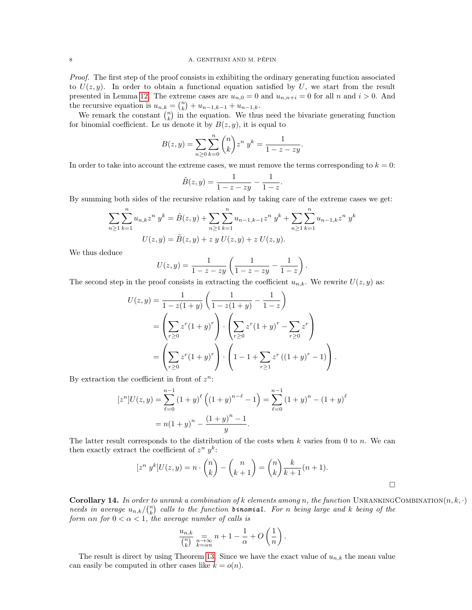Proof. The first step of the proof consists in exhibiting the ordinary generating function associated to  $U(z, y)$ . In order to obtain a functional equation satisfied by U, we start from the result presented in Lemma [12.](#page-6-2) The extreme cases are  $u_{n,0} = 0$  and  $u_{n,n+i} = 0$  for all n and  $i > 0$ . And the recursive equation is  $u_{n,k} = \binom{n}{k} + u_{n-1,k-1} + u_{n-1,k}$ .

We remark the constant  $\binom{n}{k}$  in the equation. We thus need the bivariate generating function for binomial coefficient. Le us denote it by  $B(z, y)$ , it is equal to

$$
B(z, y) = \sum_{n \ge 0} \sum_{k=0}^{n} {n \choose k} z^{n} y^{k} = \frac{1}{1 - z - zy}.
$$

In order to take into account the extreme cases, we must remove the terms corresponding to  $k = 0$ :

$$
\tilde{B}(z,y) = \frac{1}{1-z-zy} - \frac{1}{1-z}.
$$

By summing both sides of the recursive relation and by taking care of the extreme cases we get:

$$
\sum_{n\geq 1} \sum_{k=1}^{n} u_{n,k} z^n y^k = \tilde{B}(z, y) + \sum_{n\geq 1} \sum_{k=1}^{n} u_{n-1,k-1} z^n y^k + \sum_{n\geq 1} \sum_{k=1}^{n} u_{n-1,k} z^n y^k
$$

$$
U(z, y) = \tilde{B}(z, y) + z y U(z, y) + z U(z, y).
$$

We thus deduce

$$
U(z, y) = \frac{1}{1 - z - zy} \left( \frac{1}{1 - z - zy} - \frac{1}{1 - z} \right).
$$

The second step in the proof consists in extracting the coefficient  $u_{n,k}$ . We rewrite  $U(z, y)$  as:

$$
U(z,y) = \frac{1}{1 - z(1+y)} \left( \frac{1}{1 - z(1+y)} - \frac{1}{1-z} \right)
$$
  
= 
$$
\left( \sum_{r\geq 0} z^r (1+y)^r \right) \cdot \left( \sum_{r\geq 0} z^r (1+y)^r - \sum_{r\geq 0} z^r \right)
$$
  
= 
$$
\left( \sum_{r\geq 0} z^r (1+y)^r \right) \cdot \left( 1 - 1 + \sum_{r\geq 1} z^r ((1+y)^r - 1) \right).
$$

By extraction the coefficient in front of  $z^n$ :

$$
[zn]U(z,y) = \sum_{\ell=0}^{n-1} (1+y)^{\ell} ((1+y)^{n-\ell} - 1) = \sum_{\ell=0}^{n-1} (1+y)^{n} - (1+y)^{\ell}
$$

$$
= n(1+y)^{n} - \frac{(1+y)^{n} - 1}{y}.
$$

The latter result corresponds to the distribution of the costs when  $k$  varies from 0 to  $n$ . We can then exactly extract the coefficient of  $z^n$   $y^k$ :

$$
[z^n y^k]U(z,y) = n \cdot \binom{n}{k} - \binom{n}{k+1} = \binom{n}{k} \frac{k}{k+1} (n+1).
$$

**Corollary 14.** In order to unrank a combination of k elements among n, the function UNRANKINGCOMBINATION $(n, k, \cdot)$ needs in average  $u_{n,k}/\binom{n}{k}$  calls to the function **binomial**. For n being large and k being of the form  $\alpha n$  for  $0 < \alpha < 1$ , the average number of calls is

$$
\frac{u_{n,k}}{\binom{n}{k}} \underset{k=\alpha n}{\underset{n\to\infty}{\longrightarrow}} n+1-\frac{1}{\alpha}+O\left(\frac{1}{n}\right).
$$

The result is direct by using Theorem [13.](#page-6-3) Since we have the exact value of  $u_{n,k}$  the mean value can easily be computed in other cases like  $k = o(n)$ .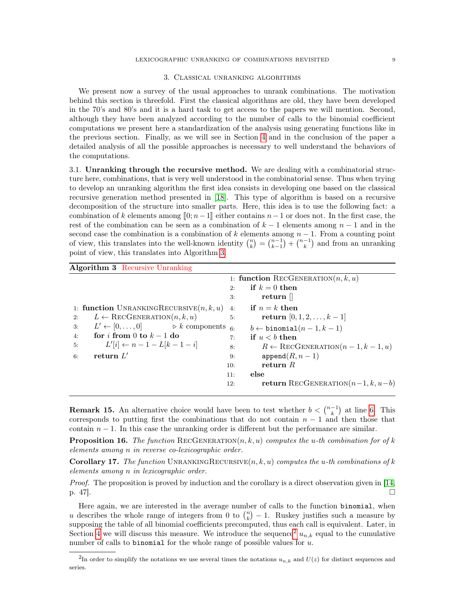#### LEXICOGRAPHIC UNRANKING OF COMBINATIONS REVISITED 9

#### 3. Classical unranking algorithms

<span id="page-8-0"></span>We present now a survey of the usual approaches to unrank combinations. The motivation behind this section is threefold. First the classical algorithms are old, they have been developed in the 70's and 80's and it is a hard task to get access to the papers we will mention. Second, although they have been analyzed according to the number of calls to the binomial coefficient computations we present here a standardization of the analysis using generating functions like in the previous section. Finally, as we will see in Section [4](#page-15-0) and in the conclusion of the paper a detailed analysis of all the possible approaches is necessary to well understand the behaviors of the computations.

<span id="page-8-1"></span>3.1. Unranking through the recursive method. We are dealing with a combinatorial structure here, combinations, that is very well understood in the combinatorial sense. Thus when trying to develop an unranking algorithm the first idea consists in developing one based on the classical recursive generation method presented in [\[18\]](#page-22-4). This type of algorithm is based on a recursive decomposition of the structure into smaller parts. Here, this idea is to use the following fact: a combination of k elements among  $[0; n-1]$  either contains  $n-1$  or does not. In the first case, the rest of the combination can be seen as a combination of  $k-1$  elements among  $n-1$  and in the second case the combination is a combination of k elements among  $n-1$ . From a counting point of view, this translates into the well-known identity  $\binom{n}{k} = \binom{n-1}{k-1} + \binom{n-1}{k}$  and from an unranking point of view, this translates into Algorithm [3.](#page-8-2)

<span id="page-8-2"></span>

| <b>Algorithm 3</b> Recursive Unranking                             |                                                         |
|--------------------------------------------------------------------|---------------------------------------------------------|
|                                                                    | 1: function RECGENERATION $(n, k, u)$                   |
|                                                                    | if $k=0$ then<br>2:                                     |
|                                                                    | return $\parallel$<br>3:                                |
| 1: function UNRANKINGRECURSIVE $(n, k, u)$                         | $\quad \quad \textbf{if} \ \ n=k \ \textbf{then}$<br>4: |
| $L \leftarrow \text{RecGENERATION}(n, k, u)$<br>2:                 | <b>return</b> $[0, 1, 2, , k-1]$<br>5:                  |
| $L' \leftarrow [0, \ldots, 0]$ $\triangleright k$ components<br>3: | $6 -$<br>$b \leftarrow \text{binomial}(n-1, k-1)$       |
| for i from 0 to $k-1$ do<br>4:                                     | if $u < b$ then<br>7:                                   |
| $L'[i] \leftarrow n-1-L[k-1-i]$<br>5:                              | $R \leftarrow \text{RECGENERATION}(n-1, k-1, u)$<br>8:  |
| return $L'$<br>6:                                                  | $append(R, n-1)$<br>9:                                  |
|                                                                    | return $R$<br>10:                                       |
|                                                                    | else<br>11:                                             |
|                                                                    | <b>return</b> RECGENERATION $(n-1, k, u-b)$<br>12:      |

<span id="page-8-4"></span>**Remark 15.** An alternative choice would have been to test whether  $b < \binom{n-1}{k}$  at line [6.](#page-8-2) This corresponds to putting first the combinations that do not contain  $n-1$  and then those that contain  $n-1$ . In this case the unranking order is different but the performance are similar.

**Proposition 16.** The function RECGENERATION $(n, k, u)$  computes the u-th combination for of k elements among n in reverse co-lexicographic order.

**Corollary 17.** The function UNRANKINGRECURSIVE $(n, k, u)$  computes the u-th combinations of k elements among n in lexicographic order.

Proof. The proposition is proved by induction and the corollary is a direct observation given in [\[14,](#page-22-18)  $p. 47$ .

Here again, we are interested in the average number of calls to the function binomial, when u describes the whole range of integers from 0 to  $\binom{n}{k} - 1$ . Ruskey justifies such a measure by supposing the table of all binomial coefficients precomputed, thus each call is equivalent. Later, in Section [4](#page-15-0) we will discuss this measure. We introduce the sequence<sup>[2](#page-8-3)</sup>  $u_{n,k}$  equal to the cumulative number of calls to binomial for the whole range of possible values for  $u$ .

<span id="page-8-3"></span><sup>&</sup>lt;sup>2</sup>In order to simplify the notations we use several times the notations  $u_{n,k}$  and  $U(z)$  for distinct sequences and series.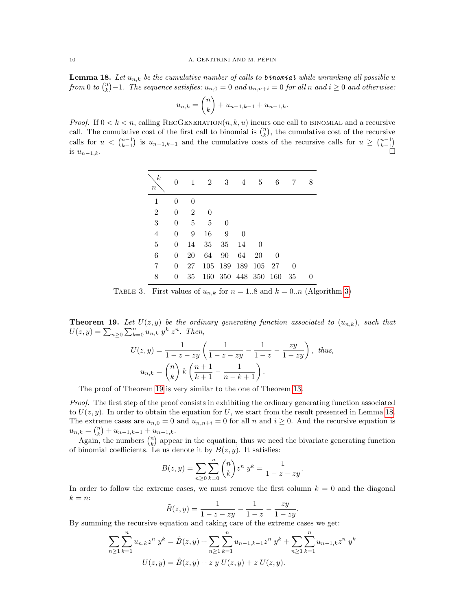<span id="page-9-1"></span>**Lemma 18.** Let  $u_{n,k}$  be the cumulative number of calls to **b**inomial while unranking all possible u from 0 to  $\binom{n}{k} - 1$ . The sequence satisfies:  $u_{n,0} = 0$  and  $u_{n,n+i} = 0$  for all n and  $i \ge 0$  and otherwise:

$$
u_{n,k} = \binom{n}{k} + u_{n-1,k-1} + u_{n-1,k}.
$$

*Proof.* If  $0 < k < n$ , calling RECGENERATION $(n, k, u)$  incurs one call to BINOMIAL and a recursive call. The cumulative cost of the first call to binomial is  $\binom{n}{k}$ , the cumulative cost of the recursive calls for  $u < \binom{n-1}{k-1}$  is  $u_{n-1,k-1}$  and the cumulative costs of the recursive calls for  $u \geq \binom{n-1}{k-1}$ is  $u_{n-1,k}$ .

| $\boldsymbol{k}$<br>$\it n$ |                | 1              | $\overline{2}$ | 3        | 4                   | 5      | 6 |          | 8 |
|-----------------------------|----------------|----------------|----------------|----------|---------------------|--------|---|----------|---|
| $\mathbf{1}$                | 0              | 0              |                |          |                     |        |   |          |   |
| $\overline{2}$              | $\overline{0}$ | $\overline{2}$ | 0              |          |                     |        |   |          |   |
| 3                           | $\overline{0}$ | 5              | 5              | $\theta$ |                     |        |   |          |   |
| $\overline{4}$              | $\overline{0}$ | 9              | 16             | 9        | 0                   |        |   |          |   |
| $\bf 5$                     | 0              | 14             | 35             | 35       | 14                  | 0      |   |          |   |
| $\overline{6}$              | $\theta$       | 20             | 64             | 90       | 64                  | 20     | 0 |          |   |
| $\overline{7}$              | 0              | 27             |                | 105 189  | 189                 | 105 27 |   | $\theta$ |   |
| 8                           | 0              | 35             |                |          | 160 350 448 350 160 |        |   | 35       |   |

TABLE 3. First values of  $u_{n,k}$  for  $n = 1.8$  and  $k = 0..n$  (Algorithm [3\)](#page-8-2)

<span id="page-9-0"></span>**Theorem 19.** Let  $U(z, y)$  be the ordinary generating function associated to  $(u_{n,k})$ , such that  $U(z, y) = \sum_{n \geq 0} \sum_{k=0}^{n} u_{n,k} y^k z^n$ . Then,

$$
U(z, y) = \frac{1}{1 - z - zy} \left( \frac{1}{1 - z - zy} - \frac{1}{1 - z} - \frac{zy}{1 - zy} \right), \text{ thus,}
$$

$$
u_{n,k} = {n \choose k} k \left( \frac{n+1}{k+1} - \frac{1}{n-k+1} \right).
$$

The proof of Theorem [19](#page-9-0) is very similar to the one of Theorem [13.](#page-6-3)

Proof. The first step of the proof consists in exhibiting the ordinary generating function associated to  $U(z, y)$ . In order to obtain the equation for U, we start from the result presented in Lemma [18.](#page-9-1) The extreme cases are  $u_{n,0} = 0$  and  $u_{n,n+i} = 0$  for all n and  $i \ge 0$ . And the recursive equation is  $u_{n,k} = \binom{n}{k} + u_{n-1,k-1} + u_{n-1,k}.$ 

Again, the numbers  $\binom{n}{k}$  appear in the equation, thus we need the bivariate generating function of binomial coefficients. Le us denote it by  $B(z, y)$ . It satisfies:

$$
B(z, y) = \sum_{n \ge 0} \sum_{k=0}^{n} {n \choose k} z^{n} y^{k} = \frac{1}{1 - z - zy}.
$$

In order to follow the extreme cases, we must remove the first column  $k = 0$  and the diagonal  $k = n$ :

$$
\tilde{B}(z,y) = \frac{1}{1-z-zy} - \frac{1}{1-z} - \frac{zy}{1-zy}
$$

.

By summing the recursive equation and taking care of the extreme cases we get:

$$
\sum_{n\geq 1} \sum_{k=1}^{n} u_{n,k} z^n y^k = \tilde{B}(z, y) + \sum_{n\geq 1} \sum_{k=1}^{n} u_{n-1,k-1} z^n y^k + \sum_{n\geq 1} \sum_{k=1}^{n} u_{n-1,k} z^n y^k
$$
  

$$
U(z, y) = \tilde{B}(z, y) + z y U(z, y) + z U(z, y).
$$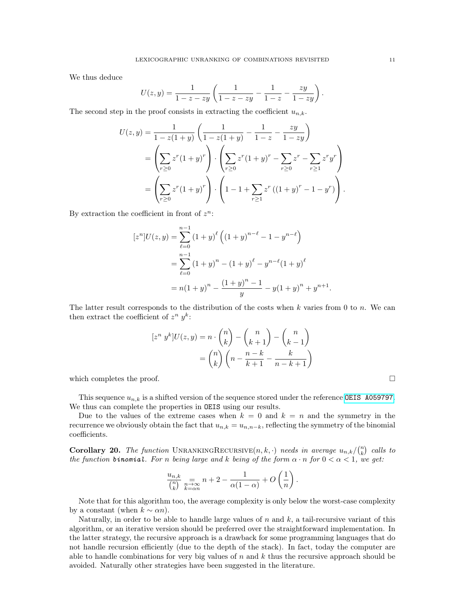We thus deduce

$$
U(z, y) = \frac{1}{1 - z - zy} \left( \frac{1}{1 - z - zy} - \frac{1}{1 - z} - \frac{zy}{1 - zy} \right)
$$

The second step in the proof consists in extracting the coefficient  $u_{n,k}$ .

$$
U(z,y) = \frac{1}{1 - z(1+y)} \left( \frac{1}{1 - z(1+y)} - \frac{1}{1 - z} - \frac{zy}{1 - zy} \right)
$$
  
= 
$$
\left( \sum_{r \ge 0} z^r (1+y)^r \right) \cdot \left( \sum_{r \ge 0} z^r (1+y)^r - \sum_{r \ge 0} z^r - \sum_{r \ge 1} z^r y^r \right)
$$
  
= 
$$
\left( \sum_{r \ge 0} z^r (1+y)^r \right) \cdot \left( 1 - 1 + \sum_{r \ge 1} z^r ((1+y)^r - 1 - y^r) \right).
$$

By extraction the coefficient in front of  $z^n$ :

$$
[zn]U(z,y) = \sum_{\ell=0}^{n-1} (1+y)^{\ell} ((1+y)^{n-\ell} - 1 - y^{n-\ell})
$$
  
= 
$$
\sum_{\ell=0}^{n-1} (1+y)^{n} - (1+y)^{\ell} - y^{n-\ell} (1+y)^{\ell}
$$
  
= 
$$
n(1+y)^{n} - \frac{(1+y)^{n} - 1}{y} - y(1+y)^{n} + y^{n+1}
$$

The latter result corresponds to the distribution of the costs when  $k$  varies from 0 to  $n$ . We can then extract the coefficient of  $z^n$   $y^k$ :

$$
[z^n y^k]U(z,y) = n \cdot \binom{n}{k} - \binom{n}{k+1} - \binom{n}{k-1}
$$

$$
= \binom{n}{k} \left(n - \frac{n-k}{k+1} - \frac{k}{n-k+1}\right)
$$

which completes the proof.  $\Box$ 

This sequence  $u_{n,k}$  is a shifted version of the sequence stored under the reference [OEIS A059797](https://oeis.org/A059797). We thus can complete the properties in **OEIS** using our results.

Due to the values of the extreme cases when  $k = 0$  and  $k = n$  and the symmetry in the recurrence we obviously obtain the fact that  $u_{n,k} = u_{n,n-k}$ , reflecting the symmetry of the binomial coefficients.

**Corollary 20.** The function UNRANKINGRECURSIVE $(n, k, \cdot)$  needs in average  $u_{n,k}/\binom{n}{k}$  calls to the function **binomial.** For n being large and k being of the form  $\alpha \cdot n$  for  $0 < \alpha < 1$ , we get:

$$
\frac{u_{n,k}}{\binom{n}{k}} \underset{k=\alpha n}{\underset{n\to\infty}{\longrightarrow}} n+2-\frac{1}{\alpha(1-\alpha)}+O\left(\frac{1}{n}\right).
$$

Note that for this algorithm too, the average complexity is only below the worst-case complexity by a constant (when  $k \sim \alpha n$ ).

Naturally, in order to be able to handle large values of  $n$  and  $k$ , a tail-recursive variant of this algorithm, or an iterative version should be preferred over the straightforward implementation. In the latter strategy, the recursive approach is a drawback for some programming languages that do not handle recursion efficiently (due to the depth of the stack). In fact, today the computer are able to handle combinations for very big values of  $n$  and  $k$  thus the recursive approach should be avoided. Naturally other strategies have been suggested in the literature.

.

.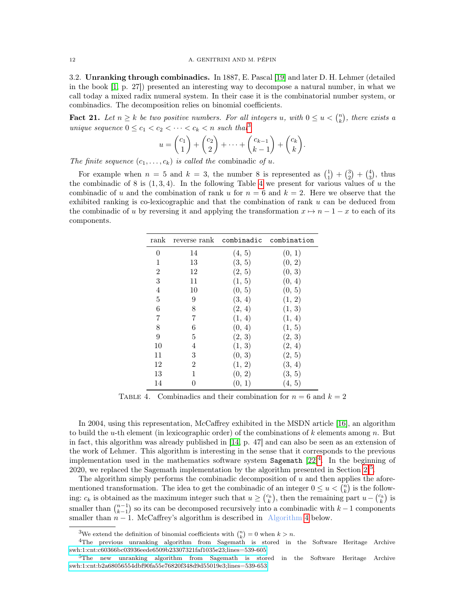<span id="page-11-0"></span>3.2. Unranking through combinadics. In 1887, E. Pascal [\[19\]](#page-22-8) and later D. H. Lehmer (detailed in the book [\[1,](#page-22-9) p. 27]) presented an interesting way to decompose a natural number, in what we call today a mixed radix numeral system. In their case it is the combinatorial number system, or combinadics. The decomposition relies on binomial coefficients.

**Fact 21.** Let  $n \geq k$  be two positive numbers. For all integers u, with  $0 \leq u < {n \choose k}$ , there exists a unique sequence  $0 \leq c_1 < c_2 < \cdots < c_k < n$  such that<sup>[3](#page-11-1)</sup>

$$
u = \begin{pmatrix} c_1 \\ 1 \end{pmatrix} + \begin{pmatrix} c_2 \\ 2 \end{pmatrix} + \dots + \begin{pmatrix} c_{k-1} \\ k-1 \end{pmatrix} + \begin{pmatrix} c_k \\ k \end{pmatrix}.
$$

The finite sequence  $(c_1, \ldots, c_k)$  is called the combinadic of u.

<span id="page-11-2"></span>For example when  $n = 5$  and  $k = 3$ , the number 8 is represented as  $\binom{1}{1} + \binom{3}{2} + \binom{4}{3}$ , thus the combinadic of 8 is  $(1,3,4)$ . In the following Table [4](#page-11-2) we present for various values of u the combinadic of u and the combination of rank u for  $n = 6$  and  $k = 2$ . Here we observe that the exhibited ranking is co-lexicographic and that the combination of rank  $u$  can be deduced from the combinadic of u by reversing it and applying the transformation  $x \mapsto n - 1 - x$  to each of its components.

| rank             |                  |              | reverse rank combinadic combination |
|------------------|------------------|--------------|-------------------------------------|
| 0                | 14               | (4, 5)       | (0, 1)                              |
| 1                | 13               | (3, 5)       | (0, 2)                              |
| $\overline{2}$   | 12               | (2, 5)       | (0, 3)                              |
| 3                | 11               | (1, 5)       | (0, 4)                              |
| $\overline{4}$   | 10               | (0, 5)       | (0, 5)                              |
| $\overline{5}$   | 9                | (3, 4)       | (1, 2)                              |
| 6                | 8                | (2, 4)       | $(1, \, 3)$                         |
| 7                | 7                | (1, 4)       | (1, 4)                              |
| 8                | 6                | (0, 4)       | (1, 5)                              |
| $\boldsymbol{9}$ | 5                | (2, 3)       | (2, 3)                              |
| 10               | 4                | (1, 3)       | (2, 4)                              |
| 11               | 3                | (0, 3)       | (2, 5)                              |
| 12               | $\boldsymbol{2}$ | (1, 2)       | (3, 4)                              |
| $13\,$           | 1                | (0, 2)       | (3, 5)                              |
| 14               |                  | <sup>1</sup> | 5 <sup>2</sup><br>4,                |

TABLE 4. Combinadics and their combination for  $n = 6$  and  $k = 2$ 

In 2004, using this representation, McCaffrey exhibited in the MSDN article [\[16\]](#page-22-19), an algorithm to build the u-th element (in lexicographic order) of the combinations of k elements among n. But in fact, this algorithm was already published in [\[14,](#page-22-18) p. 47] and can also be seen as an extension of the work of Lehmer. This algorithm is interesting in the sense that it corresponds to the previous implementation used in the mathematics software system Sagemath  $[22]^4$  $[22]^4$  $[22]^4$ . In the beginning of 2020, we replaced the Sagemath implementation by the algorithm presented in Section [2](#page-3-0)<sup>[5](#page-11-4)</sup>.

The algorithm simply performs the combinadic decomposition of  $u$  and then applies the aforementioned transformation. The idea to get the combinadic of an integer  $0 \le u < \binom{n}{k}$  is the following:  $c_k$  is obtained as the maximum integer such that  $u \geq {c_k \choose k}$ , then the remaining part  $u-{c_k \choose k}$  is smaller than  $\binom{n-1}{k-1}$  so its can be decomposed recursively into a combinadic with  $k-1$  components smaller than  $n - 1$ . McCaffrey's algorithm is described in Algorithm [4](#page-12-0) below.

<span id="page-11-3"></span><span id="page-11-1"></span><sup>&</sup>lt;sup>3</sup>We extend the definition of binomial coefficients with  $\binom{n}{k} = 0$  when  $k > n$ .

<sup>4</sup>The previous unranking algorithm from Sagemath is stored in the Software Heritage Archive [swh:1:cnt:c60366bc03936eede6509b23307321faf1035e23;lines=539-605](http://archive.softwareheritage.org/swh:1:cnt:c60366bc03936eede6509b23307321faf1035e23;origin=https://github.com/sagemath/sage;lines=539-605)

<span id="page-11-4"></span><sup>5</sup>The new unranking algorithm from Sagemath is stored in the Software Heritage Archive [swh:1:cnt:b2a68056554dbf90fa55e76820f348d9d55019e3;lines=539-653](http://archive.softwareheritage.org/swh:1:cnt:b2a68056554dbf90fa55e76820f348d9d55019e3;origin=https://github.com/sagemath/sage;lines=539-653)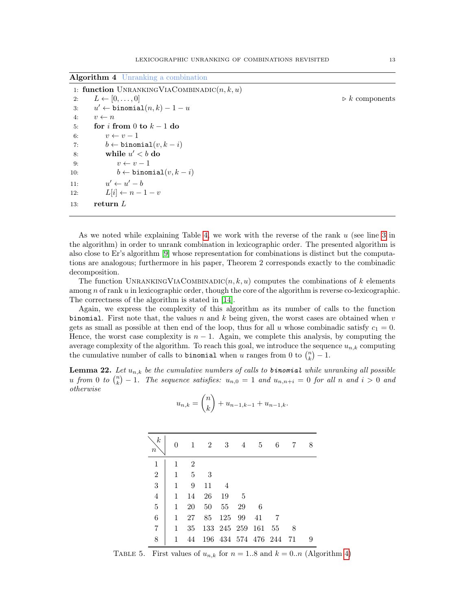<span id="page-12-0"></span>Algorithm 4 Unranking a combination

|     | 1: function UNRANKING VIA COMBINADIC $(n, k, u)$ |                               |
|-----|--------------------------------------------------|-------------------------------|
| 2:  | $L \leftarrow [0, \ldots, 0]$                    | $\triangleright k$ components |
| 3:  | $u' \leftarrow \texttt{binomial}(n, k) - 1 - u$  |                               |
| 4:  | $v \leftarrow n$                                 |                               |
| 5:  | for i from 0 to $k-1$ do                         |                               |
| 6:  | $v \leftarrow v-1$                               |                               |
| 7:  | $b \leftarrow \texttt{binomial}(v, k - i)$       |                               |
| 8:  | while $u' < b$ do                                |                               |
| 9:  | $v \leftarrow v-1$                               |                               |
| 10: | $b \leftarrow \texttt{binomial}(v, k - i)$       |                               |
| 11: | $u' \leftarrow u' - b$                           |                               |
| 12: | $L[i] \leftarrow n-1-v$                          |                               |
| 13: | return $L$                                       |                               |
|     |                                                  |                               |

As we noted while explaining Table [4,](#page-11-2) we work with the reverse of the rank u (see line [3](#page-12-0) in the algorithm) in order to unrank combination in lexicographic order. The presented algorithm is also close to Er's algorithm [\[9\]](#page-22-15) whose representation for combinations is distinct but the computations are analogous; furthermore in his paper, Theorem 2 corresponds exactly to the combinadic decomposition.

The function UNRANKINGVIACOMBINADIC(n, k, u) computes the combinations of k elements among  $n$  of rank  $u$  in lexicographic order, though the core of the algorithm is reverse co-lexicographic. The correctness of the algorithm is stated in [\[14\]](#page-22-18).

Again, we express the complexity of this algorithm as its number of calls to the function binomial. First note that, the values n and k being given, the worst cases are obtained when  $v$ gets as small as possible at then end of the loop, thus for all u whose combinadic satisfy  $c_1 = 0$ . Hence, the worst case complexity is  $n-1$ . Again, we complete this analysis, by computing the average complexity of the algorithm. To reach this goal, we introduce the sequence  $u_{n,k}$  computing the cumulative number of calls to **binomial** when u ranges from 0 to  $\binom{n}{k} - 1$ .

<span id="page-12-2"></span><span id="page-12-1"></span>**Lemma 22.** Let  $u_{n,k}$  be the cumulative numbers of calls to **binomial** while unranking all possible u from 0 to  $\binom{n}{k} - 1$ . The sequence satisfies:  $u_{n,0} = 1$  and  $u_{n,n+i} = 0$  for all n and  $i > 0$  and otherwise

$$
u_{n,k} = \binom{n}{k} + u_{n-1,k-1} + u_{n-1,k}.
$$

| $\boldsymbol{k}$<br>$\boldsymbol{n}$ |   |                | 2  | 3              | 4                   | -5 | 6  |    |  |
|--------------------------------------|---|----------------|----|----------------|---------------------|----|----|----|--|
| 1                                    |   | $\overline{2}$ |    |                |                     |    |    |    |  |
| $\overline{2}$                       | 1 | $\overline{5}$ | -3 |                |                     |    |    |    |  |
| $\overline{3}$                       | 1 | 9              | 11 | $\overline{4}$ |                     |    |    |    |  |
| $\overline{4}$                       | 1 | 14             | 26 | 19             | -5                  |    |    |    |  |
| $\overline{5}$                       | 1 | 20             | 50 | 55             | 29                  | -6 |    |    |  |
| $\overline{6}$                       | 1 | 27             | 85 | 125 99         |                     | 41 |    |    |  |
| 7                                    | 1 | 35             |    |                | 133 245 259 161     |    | 55 | 8  |  |
| 8                                    |   | 44             |    |                | 196 434 574 476 244 |    |    | 71 |  |

TABLE 5. First values of  $u_{n,k}$  for  $n = 1.8$  and  $k = 0..n$  (Algorithm [4\)](#page-12-0)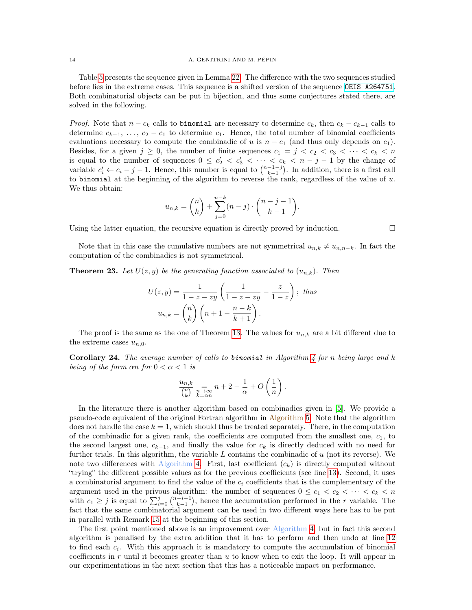### 14 A. GENITRINI AND M. PÉPIN

Table [5](#page-12-1) presents the sequence given in Lemma [22.](#page-12-2) The difference with the two sequences studied before lies in the extreme cases. This sequence is a shifted version of the sequence [OEIS A264751](https://oeis.org/A264751). Both combinatorial objects can be put in bijection, and thus some conjectures stated there, are solved in the following.

*Proof.* Note that  $n - c_k$  calls to binomial are necessary to determine  $c_k$ , then  $c_k - c_{k-1}$  calls to determine  $c_{k-1}, \ldots, c_2 - c_1$  to determine  $c_1$ . Hence, the total number of binomial coefficients evaluations necessary to compute the combinadic of u is  $n - c_1$  (and thus only depends on  $c_1$ ). Besides, for a given  $j \geq 0$ , the number of finite sequences  $c_1 = j \lt c_2 \lt c_3 \lt \cdots \lt c_k \lt n$ is equal to the number of sequences  $0 \leq c'_2 < c'_3 < \cdots < c_k < n-j-1$  by the change of variable  $c'_i \leftarrow c_i - j - 1$ . Hence, this number is equal to  $\binom{n-1-j}{k-1}$ . In addition, there is a first call to binomial at the beginning of the algorithm to reverse the rank, regardless of the value of  $u$ . We thus obtain:

$$
u_{n,k} = \binom{n}{k} + \sum_{j=0}^{n-k} (n-j) \cdot \binom{n-j-1}{k-1}.
$$

Using the latter equation, the recursive equation is directly proved by induction.  $\Box$ 

Note that in this case the cumulative numbers are not symmetrical  $u_{n,k} \neq u_{n,n-k}$ . In fact the computation of the combinadics is not symmetrical.

**Theorem 23.** Let  $U(z, y)$  be the generating function associated to  $(u_{n,k})$ . Then

$$
U(z, y) = \frac{1}{1 - z - zy} \left( \frac{1}{1 - z - zy} - \frac{z}{1 - z} \right); thus
$$

$$
u_{n,k} = \binom{n}{k} \left( n + 1 - \frac{n - k}{k + 1} \right).
$$

The proof is the same as the one of Theorem [13.](#page-6-3) The values for  $u_{n,k}$  are a bit different due to the extreme cases  $u_{n,0}$ .

<span id="page-13-0"></span>**Corollary 24.** The average number of calls to **binomial** in Algorithm  $\lambda$  for n being large and k being of the form  $\alpha n$  for  $0 < \alpha < 1$  is

$$
\frac{u_{n,k}}{\binom{n}{k}} \underset{k=\alpha n}{\underset{n\to\infty}{=}} n+2-\frac{1}{\alpha}+O\left(\frac{1}{n}\right).
$$

In the literature there is another algorithm based on combinadics given in [\[5\]](#page-22-14). We provide a pseudo-code equivalent of the original Fortran algorithm in Algorithm [5.](#page-14-0) Note that the algorithm does not handle the case  $k = 1$ , which should thus be treated separately. There, in the computation of the combinadic for a given rank, the coefficients are computed from the smallest one,  $c_1$ , to the second largest one,  $c_{k-1}$ , and finally the value for  $c_k$  is directly deduced with no need for further trials. In this algorithm, the variable  $L$  contains the combinadic of  $u$  (not its reverse). We note two differences with Algorithm [4.](#page-12-0) First, last coefficient  $(c_k)$  is directly computed without "trying" the different possible values as for the previous coefficients (see line [13\)](#page-14-0). Second, it uses a combinatorial argument to find the value of the  $c_i$  coefficients that is the complementary of the argument used in the privous algorithm: the number of sequences  $0 \leq c_1 < c_2 < \cdots < c_k < n$ with  $c_1 \geq j$  is equal to  $\sum_{i=0}^{j} {n-i-1 \choose k-1}$ , hence the accumutation performed in the r variable. The fact that the same combinatorial argument can be used in two different ways here has to be put in parallel with Remark [15](#page-8-4) at the beginning of this section.

The first point mentioned above is an improvement over Algorithm [4,](#page-12-0) but in fact this second algorithm is penalised by the extra addition that it has to perform and then undo at line [12](#page-14-0) to find each  $c_i$ . With this approach it is mandatory to compute the accumulation of binomial coefficients in  $r$  until it becomes greater than  $u$  to know when to exit the loop. It will appear in our experimentations in the next section that this has a noticeable impact on performance.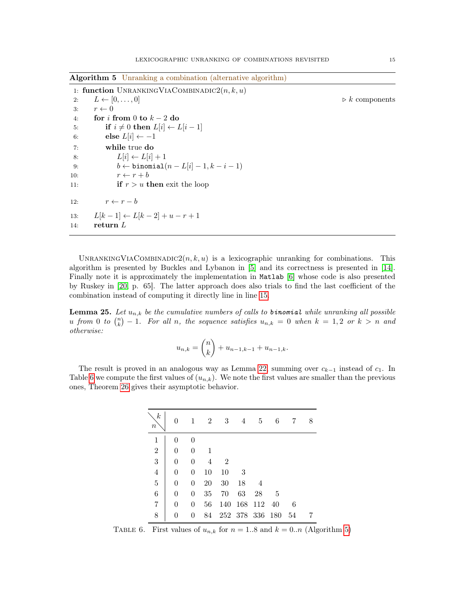<span id="page-14-0"></span>Algorithm 5 Unranking a combination (alternative algorithm)

|     | 1: function UNRANKING VIACOMBINADIC $2(n, k, u)$        |                               |
|-----|---------------------------------------------------------|-------------------------------|
| 2:  | $L \leftarrow [0, \ldots, 0]$                           | $\triangleright k$ components |
| 3:  | $r \leftarrow 0$                                        |                               |
| 4:  | for i from 0 to $k-2$ do                                |                               |
| 5:  | if $i \neq 0$ then $L[i] \leftarrow L[i-1]$             |                               |
| 6:  | else $L[i] \leftarrow -1$                               |                               |
| 7:  | while true do                                           |                               |
| 8:  | $L[i] \leftarrow L[i] + 1$                              |                               |
| 9:  | $b \leftarrow \text{binomial}(n - L[i] - 1, k - i - 1)$ |                               |
| 10: | $r \leftarrow r + b$                                    |                               |
| 11: | <b>if</b> $r > u$ then exit the loop                    |                               |
| 12: | $r \leftarrow r - b$                                    |                               |
| 13: | $L[k-1] \leftarrow L[k-2] + u - r + 1$                  |                               |
| 14: | return $L$                                              |                               |

UNRANKINGVIACOMBINADIC2 $(n, k, u)$  is a lexicographic unranking for combinations. This algorithm is presented by Buckles and Lybanon in [\[5\]](#page-22-14) and its correctness is presented in [\[14\]](#page-22-18). Finally note it is approximately the implementation in Matlab [\[6\]](#page-22-21) whose code is also presented by Ruskey in [\[20,](#page-22-3) p. 65]. The latter approach does also trials to find the last coefficient of the combination instead of computing it directly line in line [15.](#page-17-0)

**Lemma 25.** Let  $u_{n,k}$  be the cumulative numbers of calls to **binomial** while unranking all possible u from 0 to  $\binom{n}{k} - 1$ . For all n, the sequence satisfies  $u_{n,k} = 0$  when  $k = 1, 2$  or  $k > n$  and otherwise:

$$
u_{n,k} = \binom{n}{k} + u_{n-1,k-1} + u_{n-1,k}.
$$

<span id="page-14-1"></span>The result is proved in an analogous way as Lemma [22,](#page-12-2) summing over  $c_{k-1}$  instead of  $c_1$ . In Table [6](#page-14-1) we compute the first values of  $(u_{n,k})$ . We note the first values are smaller than the previous ones, Theorem [26](#page-15-2) gives their asymptotic behavior.

| $\boldsymbol{k}$<br>$\it n$ |                |                | 2      | 3              | 4           | 5                              | 6   |    | 8 |
|-----------------------------|----------------|----------------|--------|----------------|-------------|--------------------------------|-----|----|---|
| $\mathbf{1}$                |                |                |        |                |             |                                |     |    |   |
| $\sqrt{2}$                  | $\overline{0}$ | 0              |        |                |             |                                |     |    |   |
| 3                           | $\overline{0}$ | 0              | 4      | $\overline{2}$ |             |                                |     |    |   |
| $\overline{4}$              | $\overline{0}$ | 0              | 10     | 10             | -3          |                                |     |    |   |
| $\overline{5}$              | $\overline{0}$ | 0              | $20\,$ | $30\,$         | 18          | 4                              |     |    |   |
| $\,$ 6 $\,$                 | $\overline{0}$ | 0              | $35\,$ | 70             | 63          | $\ensuremath{\mathnormal{28}}$ | 5   |    |   |
| 7                           | $\overline{0}$ | $\overline{0}$ | 56     | 140            | 168         | 112                            | 40  | 6  |   |
| 8                           | 0              | 0              | 84     |                | 252 378 336 |                                | 180 | 54 |   |

TABLE 6. First values of  $u_{n,k}$  for  $n = 1.8$  and  $k = 0..n$  (Algorithm [5\)](#page-14-0)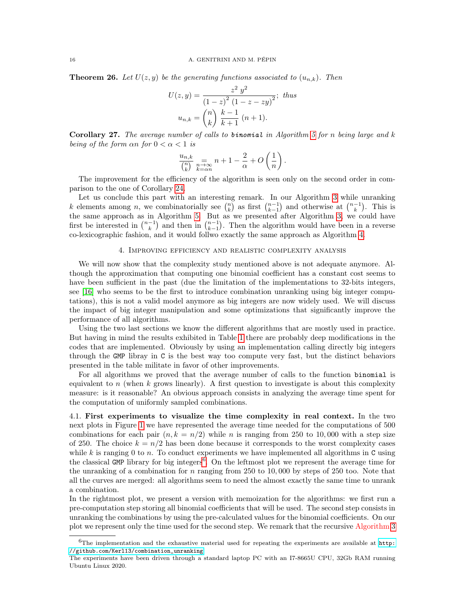<span id="page-15-2"></span>**Theorem 26.** Let  $U(z, y)$  be the generating functions associated to  $(u_{n,k})$ . Then

$$
U(z, y) = \frac{z^2 y^2}{(1 - z)^2 (1 - z - zy)^2};
$$
 thus  

$$
u_{n,k} = {n \choose k} \frac{k - 1}{k + 1} (n + 1).
$$

Corollary 27. The average number of calls to binomial in Algorithm [5](#page-14-0) for n being large and k being of the form  $\alpha n$  for  $0 < \alpha < 1$  is

$$
\frac{u_{n,k}}{\binom{n}{k}} \underset{k=\alpha n}{\underset{n\to\infty}\longrightarrow} n+1-\frac{2}{\alpha}+O\left(\frac{1}{n}\right).
$$

The improvement for the efficiency of the algorithm is seen only on the second order in comparison to the one of Corollary [24.](#page-13-0)

Let us conclude this part with an interesting remark. In our Algorithm [3](#page-8-2) while unranking k elements among n, we combinatorially see  $\binom{n}{k}$  as first  $\binom{n-1}{k-1}$  and otherwise at  $\binom{n-1}{k}$ . This is the same approach as in Algorithm [5.](#page-14-0) But as we presented after Algorithm [3,](#page-8-2) we could have first be interested in  $\binom{n-1}{k}$  and then in  $\binom{n-1}{k-1}$ . Then the algorithm would have been in a reverse co-lexicographic fashion, and it would follwo exactly the same approach as Algorithm [4.](#page-12-0)

## 4. Improving efficiency and realistic complexity analysis

<span id="page-15-0"></span>We will now show that the complexity study mentioned above is not adequate anymore. Although the approximation that computing one binomial coefficient has a constant cost seems to have been sufficient in the past (due the limitation of the implementations to 32-bits integers, see [\[16\]](#page-22-19) who seems to be the first to introduce combination unranking using big integer computations), this is not a valid model anymore as big integers are now widely used. We will discuss the impact of big integer manipulation and some optimizations that significantly improve the performance of all algorithms.

Using the two last sections we know the different algorithms that are mostly used in practice. But having in mind the results exhibited in Table [1](#page-2-0) there are probably deep modifications in the codes that are implemented. Obviously by using an implementation calling directly big integers through the GMP libray in C is the best way too compute very fast, but the distinct behaviors presented in the table militate in favor of other improvements.

For all algorithms we proved that the average number of calls to the function binomial is equivalent to n (when k grows linearly). A first question to investigate is about this complexity measure: is it reasonable? An obvious approach consists in analyzing the average time spent for the computation of uniformly sampled combinations.

<span id="page-15-1"></span>4.1. First experiments to visualize the time complexity in real context. In the two next plots in Figure [1](#page-16-1) we have represented the average time needed for the computations of 500 combinations for each pair  $(n, k = n/2)$  while n is ranging from 250 to 10,000 with a step size of 250. The choice  $k = n/2$  has been done because it corresponds to the worst complexity cases while  $k$  is ranging 0 to n. To conduct experiments we have implemented all algorithms in C using the classical GMP library for big integers<sup>[6](#page-15-3)</sup>. On the leftmost plot we represent the average time for the unranking of a combination for  $n$  ranging from 250 to 10,000 by steps of 250 too. Note that all the curves are merged: all algorithms seem to need the almost exactly the same time to unrank a combination.

In the rightmost plot, we present a version with memoization for the algorithms: we first run a pre-computation step storing all binomial coefficients that will be used. The second step consists in unranking the combinations by using the pre-calculated values for the binomial coefficients. On our plot we represent only the time used for the second step. We remark that the recursive Algorithm [3](#page-8-2)

<span id="page-15-3"></span> $6$ The implementation and the exhaustive material used for repeating the experiments are available at [http:](http://github.com/Kerl13/combination_unranking) [//github.com/Kerl13/combination\\_unranking](http://github.com/Kerl13/combination_unranking).

The experiments have been driven through a standard laptop PC with an I7-8665U CPU, 32Gb RAM running Ubuntu Linux 2020.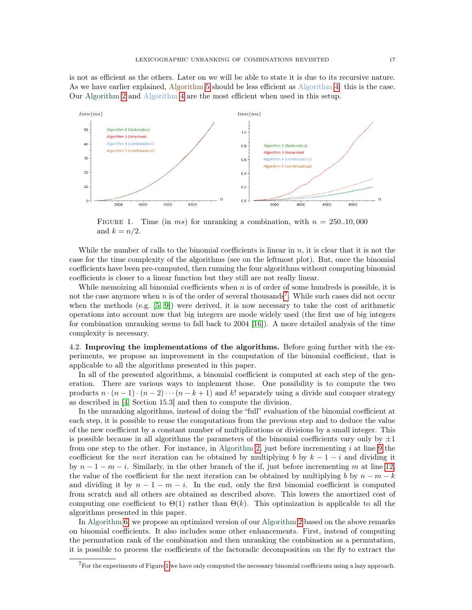is not as efficient as the others. Later on we will be able to state it is due to its recursive nature. As we have earlier explained, Algorithm [5](#page-14-0) should be less efficient as Algorithm [4:](#page-12-0) this is the case. Our Algorithm [2](#page-5-0) and Algorithm [4](#page-12-0) are the most efficient when used in this setup.

<span id="page-16-1"></span>

FIGURE 1. Time (in ms) for unranking a combination, with  $n = 250..10,000$ and  $k = n/2$ .

While the number of calls to the binomial coefficients is linear in  $n$ , it is clear that it is not the case for the time complexity of the algorithms (see on the leftmost plot). But, once the binomial coefficients have been pre-computed, then running the four algorithms without computing binomial coefficients is closer to a linear function but they still are not really linear.

While memoizing all binomial coefficients when  $n$  is of order of some hundreds is possible, it is not the case anymore when n is of the order of several thousands<sup>[7](#page-16-2)</sup>. While such cases did not occur when the methods  $(e.g. [5, 9])$  $(e.g. [5, 9])$  $(e.g. [5, 9])$  $(e.g. [5, 9])$  were derived, it is now necessary to take the cost of arithmetic operations into account now that big integers are mode widely used (the first use of big integers for combination unranking seems to fall back to 2004 [\[16\]](#page-22-19)). A more detailed analysis of the time complexity is necessary.

<span id="page-16-0"></span>4.2. Improving the implementations of the algorithms. Before going further with the experiments, we propose an improvement in the computation of the binomial coefficient, that is applicable to all the algorithms presented in this paper.

In all of the presented algorithms, a binomial coefficient is computed at each step of the generation. There are various ways to implement those. One possibility is to compute the two products  $n \cdot (n-1) \cdot (n-2) \cdot \cdot \cdot (n-k+1)$  and k! separately using a divide and conquer strategy as described in [\[4,](#page-22-22) Section 15.3] and then to compute the division.

In the unranking algorithms, instead of doing the "full" evaluation of the binomial coefficient at each step, it is possible to reuse the computations from the previous step and to deduce the value of the new coefficient by a constant number of multiplications or divisions by a small integer. This is possible because in all algorithms the parameters of the binomial coefficients vary only by  $\pm 1$ from one step to the other. For instance, in Algorithm [2,](#page-5-0) just before incrementing  $i$  at line [9](#page-5-0) the coefficient for the *next* iteration can be obtained by multiplying b by  $k - 1 - i$  and dividing it by  $n-1-m-i$ . Similarly, in the other branch of the if, just before incrementing m at line [12,](#page-5-0) the value of the coefficient for the next iteration can be obtained by multiplying b by  $n - m - k$ and dividing it by  $n-1-m-i$ . In the end, only the first binomial coefficient is computed from scratch and all others are obtained as described above. This lowers the amortized cost of computing one coefficient to  $\Theta(1)$  rather than  $\Theta(k)$ . This optimization is applicable to all the algorithms presented in this paper.

In Algorithm [6,](#page-17-0) we propose an optimized version of our Algorithm [2](#page-5-0) based on the above remarks on binomial coefficients. It also includes some other enhancements. First, instead of computing the permutation rank of the combination and then unranking the combination as a permutation, it is possible to process the coefficients of the factoradic decomposition on the fly to extract the

<span id="page-16-2"></span> ${}^{7}$ For the experiments of Figure [1](#page-16-1) we have only computed the necessary binomial coefficients using a lazy approach.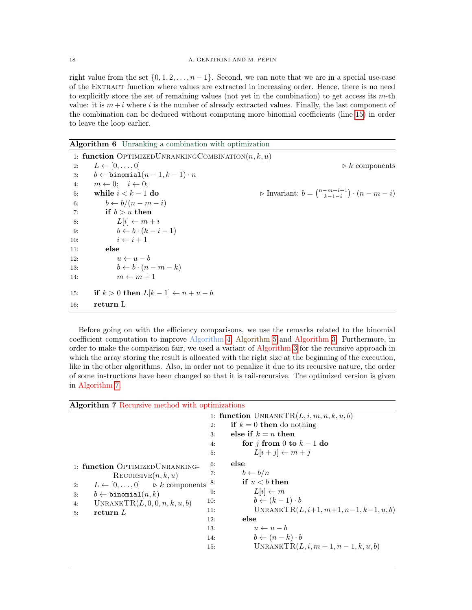right value from the set  $\{0, 1, 2, \ldots, n-1\}$ . Second, we can note that we are in a special use-case of the Extract function where values are extracted in increasing order. Hence, there is no need to explicitly store the set of remaining values (not yet in the combination) to get access its  $m$ -th value: it is  $m+i$  where i is the number of already extracted values. Finally, the last component of the combination can be deduced without computing more binomial coefficients (line [15\)](#page-17-0) in order to leave the loop earlier.

<span id="page-17-0"></span>Algorithm 6 Unranking a combination with optimization

| 1: function OPTIMIZEDUNRANKINGCOMBINATION $(n, k, u)$ |                                                                          |
|-------------------------------------------------------|--------------------------------------------------------------------------|
| $L \leftarrow [0, \ldots, 0]$                         | $\triangleright k$ components                                            |
| $b \leftarrow \text{binomial}(n-1, k-1) \cdot n$      |                                                                          |
| $m \leftarrow 0; \quad i \leftarrow 0;$<br>4:         |                                                                          |
| while $i < k - 1$ do<br>5:                            | $\triangleright$ Invariant: $b = \binom{n-m-i-1}{k-1-i} \cdot (n-m-i)$   |
| $b \leftarrow b/(n-m-i)$<br>6:                        |                                                                          |
| if $b > u$ then<br>7:                                 |                                                                          |
| $L[i] \leftarrow m + i$                               |                                                                          |
|                                                       |                                                                          |
| $i \leftarrow i+1$                                    |                                                                          |
| else                                                  |                                                                          |
| $u \leftarrow u - b$                                  |                                                                          |
|                                                       |                                                                          |
| $m \leftarrow m + 1$                                  |                                                                          |
| if $k > 0$ then $L[k-1] \leftarrow n + u - b$<br>15:  |                                                                          |
| return L                                              |                                                                          |
|                                                       | $b \leftarrow b \cdot (k - i - 1)$<br>$b \leftarrow b \cdot (n - m - k)$ |

Before going on with the efficiency comparisons, we use the remarks related to the binomial coefficient computation to improve Algorithm [4,](#page-12-0) Algorithm [5](#page-14-0) and Algorithm [3.](#page-8-2) Furthermore, in order to make the comparison fair, we used a variant of Algorithm [3](#page-8-2) for the recursive approach in which the array storing the result is allocated with the right size at the beginning of the execution, like in the other algorithms. Also, in order not to penalize it due to its recursive nature, the order of some instructions have been changed so that it is tail-recursive. The optimized version is given in Algorithm [7.](#page-17-1)

<span id="page-17-1"></span>

| Algorithm 7 Recursive method with optimizations                                                                                                                                                                                          |     |                                              |
|------------------------------------------------------------------------------------------------------------------------------------------------------------------------------------------------------------------------------------------|-----|----------------------------------------------|
|                                                                                                                                                                                                                                          |     | 1: function UNRANKTR $(L, i, m, n, k, u, b)$ |
|                                                                                                                                                                                                                                          | 2:  | if $k = 0$ then do nothing                   |
|                                                                                                                                                                                                                                          | 3:  | else if $k = n$ then                         |
|                                                                                                                                                                                                                                          | 4:  | for j from 0 to $k-1$ do                     |
| 1: function OPTIMIZEDUNRANKING-<br>RECURSIVE(n, k, u)<br>$L \leftarrow [0, \ldots, 0]$ $\triangleright k$ components<br>2:<br>$b \leftarrow \texttt{binomial}(n, k)$<br>3:<br>UNRANKTR $(L, 0, 0, n, k, u, b)$<br>4:<br>return $L$<br>5: | 5:  | $L[i+j] \leftarrow m+j$                      |
|                                                                                                                                                                                                                                          | 6:  | else                                         |
|                                                                                                                                                                                                                                          | 7:  | $b \leftarrow b/n$                           |
|                                                                                                                                                                                                                                          | 8:  | if $u < b$ then                              |
|                                                                                                                                                                                                                                          | 9:  | $L[i] \leftarrow m$                          |
|                                                                                                                                                                                                                                          | 10: | $b \leftarrow (k-1) \cdot b$                 |
|                                                                                                                                                                                                                                          | 11: | UNRANKTR $(L, i+1, m+1, n-1, k-1, u, b)$     |
|                                                                                                                                                                                                                                          | 12: | else                                         |
|                                                                                                                                                                                                                                          | 13: | $u \leftarrow u - b$                         |
|                                                                                                                                                                                                                                          | 14: | $b \leftarrow (n-k) \cdot b$                 |
|                                                                                                                                                                                                                                          | 15: | UNRANKTR $(L, i, m+1, n-1, k, u, b)$         |
|                                                                                                                                                                                                                                          |     |                                              |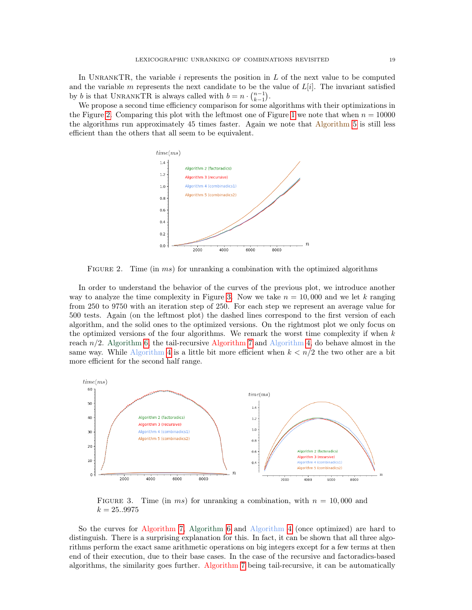In UNRANKTR, the variable  $i$  represents the position in  $L$  of the next value to be computed and the variable m represents the next candidate to be the value of  $L[i]$ . The invariant satisfied by b is that UNRANKTR is always called with  $b = n \cdot \binom{n-1}{k-1}$ .

<span id="page-18-0"></span>We propose a second time efficiency comparison for some algorithms with their optimizations in the Figure [2.](#page-18-0) Comparing this plot with the leftmost one of Figure [1](#page-16-1) we note that when  $n = 10000$ the algorithms run approximately 45 times faster. Again we note that Algorithm [5](#page-14-0) is still less efficient than the others that all seem to be equivalent.



FIGURE 2. Time (in ms) for unranking a combination with the optimized algorithms

In order to understand the behavior of the curves of the previous plot, we introduce another way to analyze the time complexity in Figure [3.](#page-18-1) Now we take  $n = 10,000$  and we let k ranging from 250 to 9750 with an iteration step of 250. For each step we represent an average value for 500 tests. Again (on the leftmost plot) the dashed lines correspond to the first version of each algorithm, and the solid ones to the optimized versions. On the rightmost plot we only focus on the optimized versions of the four algorithms. We remark the worst time complexity if when  $k$ reach  $n/2$ . Algorithm [6,](#page-17-0) the tail-recursive Algorithm [7](#page-17-1) and Algorithm [4,](#page-12-0) do behave almost in the same way. While Algorithm [4](#page-12-0) is a little bit more efficient when  $k < n/2$  the two other are a bit more efficient for the second half range.

<span id="page-18-1"></span>

FIGURE 3. Time (in ms) for unranking a combination, with  $n = 10,000$  and  $k = 25..9975$ 

So the curves for Algorithm [7,](#page-17-1) Algorithm [6](#page-17-0) and Algorithm [4](#page-12-0) (once optimized) are hard to distinguish. There is a surprising explanation for this. In fact, it can be shown that all three algorithms perform the exact same arithmetic operations on big integers except for a few terms at then end of their execution, due to their base cases. In the case of the recursive and factoradics-based algorithms, the similarity goes further. Algorithm [7](#page-17-1) being tail-recursive, it can be automatically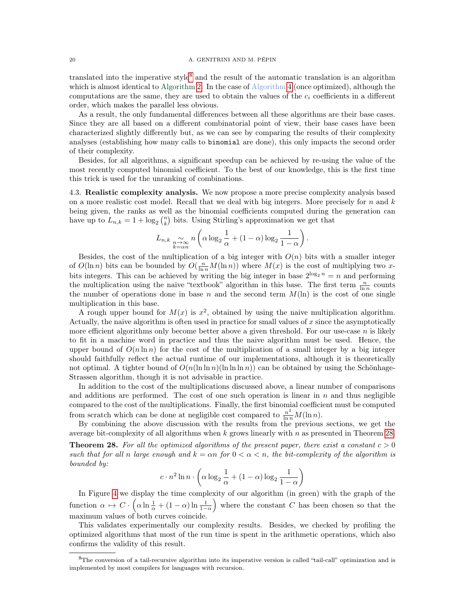## 20 A. GENITRINI AND M. PÉPIN

translated into the imperative style<sup>[8](#page-19-1)</sup> and the result of the automatic translation is an algorithm which is almost identical to Algorithm [2.](#page-5-0) In the case of Algorithm [4](#page-12-0) (once optimized), although the computations are the same, they are used to obtain the values of the  $c_i$  coefficients in a different order, which makes the parallel less obvious.

As a result, the only fundamental differences between all these algorithms are their base cases. Since they are all based on a different combinatorial point of view, their base cases have been characterized slightly differently but, as we can see by comparing the results of their complexity analyses (establishing how many calls to binomial are done), this only impacts the second order of their complexity.

Besides, for all algorithms, a significant speedup can be achieved by re-using the value of the most recently computed binomial coefficient. To the best of our knowledge, this is the first time this trick is used for the unranking of combinations.

<span id="page-19-0"></span>4.3. Realistic complexity analysis. We now propose a more precise complexity analysis based on a more realistic cost model. Recall that we deal with big integers. More precisely for  $n$  and  $k$ being given, the ranks as well as the binomial coefficients computed during the generation can have up to  $L_{n,k} = 1 + \log_2 {n \choose k}$  bits. Using Stirling's approximation we get that

$$
L_{n,k} \underset{\substack{n \to \infty \\ k=\alpha n}}{\sim} n \left( \alpha \log_2 \frac{1}{\alpha} + (1-\alpha) \log_2 \frac{1}{1-\alpha} \right).
$$

Besides, the cost of the multiplication of a big integer with  $O(n)$  bits with a smaller integer of  $O(\ln n)$  bits can be bounded by  $O(\frac{n}{\ln n}M(\ln n))$  where  $M(x)$  is the cost of multiplying two xbits integers. This can be achieved by writing the big integer in base  $2^{\log_2 n} = n$  and performing the multiplication using the naive "textbook" algorithm in this base. The first term  $\frac{n}{\ln n}$  counts the number of operations done in base n and the second term  $M(\ln)$  is the cost of one single multiplication in this base.

A rough upper bound for  $M(x)$  is  $x^2$ , obtained by using the naive multiplication algorithm. Actually, the naive algorithm is often used in practice for small values of  $x$  since the asymptotically more efficient algorithms only become better above a given threshold. For our use-case  $n$  is likely to fit in a machine word in practice and thus the naive algorithm must be used. Hence, the upper bound of  $O(n \ln n)$  for the cost of the multiplication of a small integer by a big integer should faithfully reflect the actual runtime of our implementations, although it is theoretically not optimal. A tighter bound of  $O(n(\ln \ln n)(\ln \ln n))$  can be obtained by using the Schönhage-Strassen algorithm, though it is not advisable in practice.

In addition to the cost of the multiplications discussed above, a linear number of comparisons and additions are performed. The cost of one such operation is linear in  $n$  and thus negligible compared to the cost of the multiplications. Finally, the first binomial coefficient must be computed from scratch which can be done at negligible cost compared to  $\frac{n^2}{\ln n}M(\ln n)$ .

By combining the above discussion with the results from the previous sections, we get the average bit-complexity of all algorithms when  $k$  grows linearly with  $n$  as presented in Theorem [28.](#page-19-2)

<span id="page-19-2"></span>**Theorem 28.** For all the optimized algorithms of the present paper, there exist a constant  $c > 0$ such that for all n large enough and  $k = \alpha n$  for  $0 < \alpha < n$ , the bit-complexity of the algorithm is bounded by:

$$
c \cdot n^2 \ln n \cdot \left(\alpha \log_2 \frac{1}{\alpha} + (1 - \alpha) \log_2 \frac{1}{1 - \alpha}\right)
$$

In Figure [4](#page-20-2) we display the time complexity of our algorithm (in green) with the graph of the function  $\alpha \mapsto C \cdot \left( \alpha \ln \frac{1}{\alpha} + (1 - \alpha) \ln \frac{1}{1 - \alpha} \right)$  where the constant C has been chosen so that the maximum values of both curves coincide.

This validates experimentally our complexity results. Besides, we checked by profiling the optimized algorithms that most of the run time is spent in the arithmetic operations, which also confirms the validity of this result.

<span id="page-19-1"></span><sup>8</sup>The conversion of a tail-recursive algorithm into its imperative version is called "tail-call" optimization and is implemented by most compilers for languages with recursion.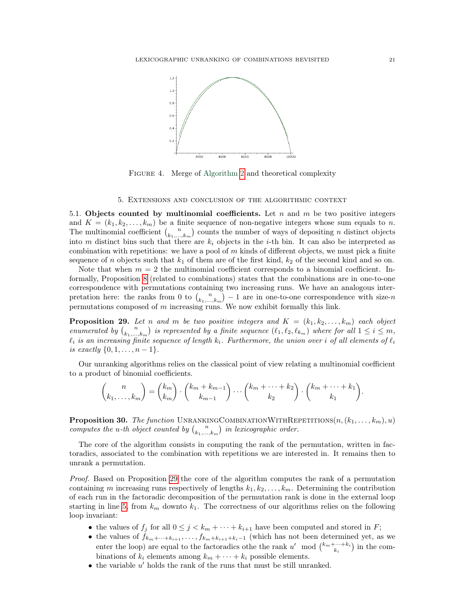<span id="page-20-2"></span>

FIGURE 4. Merge of Algorithm [2](#page-5-0) and theoretical complexity

## 5. Extensions and conclusion of the algorithmic context

<span id="page-20-1"></span><span id="page-20-0"></span>5.1. Objects counted by multinomial coefficients. Let n and m be two positive integers and  $K = (k_1, k_2, \ldots, k_m)$  be a finite sequence of non-negative integers whose sum equals to n. The multinomial coefficient  $\binom{n}{k_1,\dots,k_m}$  counts the number of ways of depositing n distinct objects into m distinct bins such that there are  $k_i$  objects in the *i*-th bin. It can also be interpreted as combination with repetitions: we have a pool of m kinds of different objects, we must pick a finite sequence of n objects such that  $k_1$  of them are of the first kind,  $k_2$  of the second kind and so on.

Note that when  $m = 2$  the multinomial coefficient corresponds to a binomial coefficient. Informally, Proposition [8](#page-4-0) (related to combinations) states that the combinations are in one-to-one correspondence with permutations containing two increasing runs. We have an analogous interpretation here: the ranks from 0 to  $\binom{n}{k_1,\dots,k_m} - 1$  are in one-to-one correspondence with size-n permutations composed of  $m$  increasing runs. We now exhibit formally this link.

<span id="page-20-3"></span>**Proposition 29.** Let n and m be two positive integers and  $K = (k_1, k_2, \ldots, k_m)$  each object enumerated by  $\binom{n}{k_1,\dots,k_m}$  is represented by a finite sequence  $(\ell_1, \ell_2, \ell_{k_m})$  where for all  $1 \leq i \leq m$ ,  $\ell_i$  is an increasing finite sequence of length  $k_i$ . Furthermore, the union over i of all elements of  $\ell_i$ is exactly  $\{0, 1, \ldots, n-1\}.$ 

Our unranking algorithms relies on the classical point of view relating a multinomial coefficient to a product of binomial coefficients.

$$
\binom{n}{k_1,\ldots,k_m} = \binom{k_m}{k_m} \cdot \binom{k_m+k_{m-1}}{k_{m-1}} \cdots \binom{k_m+\cdots+k_2}{k_2} \cdot \binom{k_m+\cdots+k_1}{k_1}.
$$

**Proposition 30.** The function UNRANKINGCOMBINATIONWITHREPETITIONS $(n, (k_1, \ldots, k_m), u)$ computes the u-th object counted by  $\binom{n}{k_1,\dots,k_m}$  in lexicographic order.

The core of the algorithm consists in computing the rank of the permutation, written in factoradics, associated to the combination with repetitions we are interested in. It remains then to unrank a permutation.

Proof. Based on Proposition [29](#page-20-3) the core of the algorithm computes the rank of a permutation containing m increasing runs respectively of lengths  $k_1, k_2, \ldots, k_m$ . Determining the contribution of each run in the factoradic decomposition of the permutation rank is done in the external loop starting in line [5,](#page-21-2) from  $k_m$  downto  $k_1$ . The correctness of our algorithms relies on the following loop invariant:

- the values of  $f_j$  for all  $0 \leq j < k_m + \cdots + k_{i+1}$  have been computed and stored in F;
- the values of  $f_{k_m+\cdots+k_{i+1}},\ldots,f_{k_m+k_{i+1}+k_i-1}$  (which has not been determined yet, as we enter the loop) are equal to the factoradics othe the rank  $u' \mod \binom{k_m+\cdots+k_i}{k_i}$  in the combinations of  $k_i$  elements among  $k_m + \cdots + k_i$  possible elements.
- $\bullet$  the variable  $u'$  holds the rank of the runs that must be still unranked.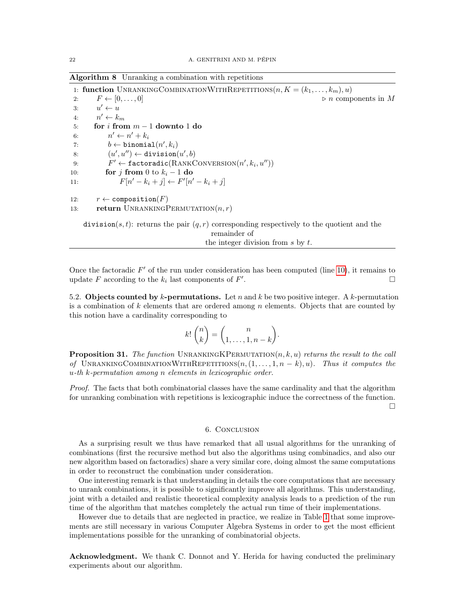<span id="page-21-2"></span>Algorithm 8 Unranking a combination with repetitions

1: function UNRANKINGCOMBINATIONWITHREPETITIONS $(n, K = (k_1, \ldots, k_m), u)$ 2:  $F \leftarrow [0, \ldots, 0]$   $\triangleright n$  components in M 3:  $u' \leftarrow u$ 4:  $n' \leftarrow k_m$ 5: for  $i$  from  $m-1$  downto 1 do 6:  $n' \leftarrow n' + k_i$ 7:  $b \leftarrow \texttt{binomial}(n', k_i)$ 8:  $(u', u'') \leftarrow \text{division}(u', b)$ 9:  $F' \leftarrow \texttt{factoradic}(RANKCONVERSION(n', k_i, u''))$ 10: **for** j from 0 to  $k_i - 1$  do 11:  $F[n'-k_i+j] \leftarrow F'[n'-k_i+j]$ 12:  $r \leftarrow \text{composition}(F)$ 13: return UNRANKINGPERMUTATION $(n, r)$ 

division(s, t): returns the pair  $(q, r)$  corresponding respectively to the quotient and the remainder of the integer division from s by t.

Once the factoradic  $F'$  of the run under consideration has been computed (line [10\)](#page-21-2), it remains to update  $F$  according to the  $k_i$  last components of  $F'$ .

<span id="page-21-0"></span>5.2. Objects counted by k-permutations. Let n and k be two positive integer. A k-permutation is a combination of k elements that are ordered among n elements. Objects that are counted by this notion have a cardinality corresponding to

$$
k! \binom{n}{k} = \binom{n}{1, \dots, 1, n-k}.
$$

**Proposition 31.** The function UNRANKINGKPERMUTATION $(n, k, u)$  returns the result to the call of UNRANKINGCOMBINATIONWITHREPETITIONS $(n,(1,\ldots,1,n-k),u)$ . Thus it computes the u-th k-permutation among n elements in lexicographic order.

Proof. The facts that both combinatorial classes have the same cardinality and that the algorithm for unranking combination with repetitions is lexicographic induce the correctness of the function.  $\Box$ 

6. Conclusion

<span id="page-21-1"></span>As a surprising result we thus have remarked that all usual algorithms for the unranking of combinations (first the recursive method but also the algorithms using combinadics, and also our new algorithm based on factoradics) share a very similar core, doing almost the same computations in order to reconstruct the combination under consideration.

One interesting remark is that understanding in details the core computations that are necessary to unrank combinations, it is possible to significantly improve all algorithms. This understanding, joint with a detailed and realistic theoretical complexity analysis leads to a prediction of the run time of the algorithm that matches completely the actual run time of their implementations.

However due to details that are neglected in practice, we realize in Table [1](#page-2-0) that some improvements are still necessary in various Computer Algebra Systems in order to get the most efficient implementations possible for the unranking of combinatorial objects.

Acknowledgment. We thank C. Donnot and Y. Herida for having conducted the preliminary experiments about our algorithm.